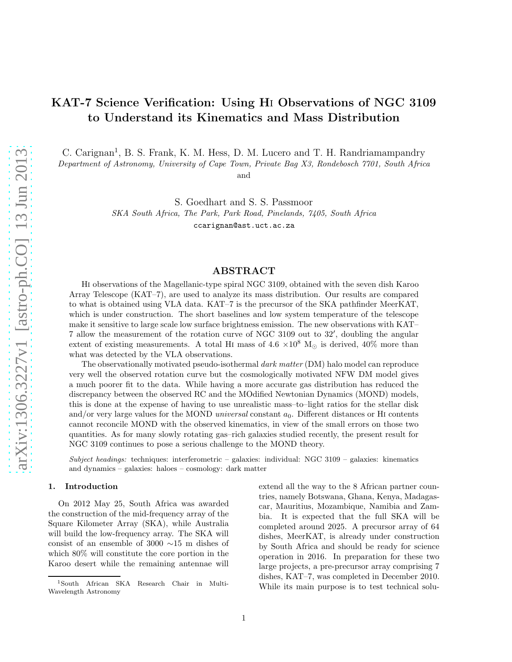# KAT-7 Science Verification: Using Hi Observations of NGC 3109 to Understand its Kinematics and Mass Distribution

C. Carignan<sup>1</sup>, B. S. Frank, K. M. Hess, D. M. Lucero and T. H. Randriamampandry

Department of Astronomy, University of Cape Town, Private Bag X3, Rondebosch 7701, South Africa and

S. Goedhart and S. S. Passmoor

SKA South Africa, The Park, Park Road, Pinelands, 7405, South Africa ccarignan@ast.uct.ac.za

# ABSTRACT

Hi observations of the Magellanic-type spiral NGC 3109, obtained with the seven dish Karoo Array Telescope (KAT–7), are used to analyze its mass distribution. Our results are compared to what is obtained using VLA data. KAT–7 is the precursor of the SKA pathfinder MeerKAT, which is under construction. The short baselines and low system temperature of the telescope make it sensitive to large scale low surface brightness emission. The new observations with KAT– 7 allow the measurement of the rotation curve of NGC 3109 out to 32′ , doubling the angular extent of existing measurements. A total HI mass of  $4.6 \times 10^8$  M<sub>☉</sub> is derived,  $40\%$  more than what was detected by the VLA observations.

The observationally motivated pseudo-isothermal dark matter (DM) halo model can reproduce very well the observed rotation curve but the cosmologically motivated NFW DM model gives a much poorer fit to the data. While having a more accurate gas distribution has reduced the discrepancy between the observed RC and the MOdified Newtonian Dynamics (MOND) models, this is done at the expense of having to use unrealistic mass–to–light ratios for the stellar disk and/or very large values for the MOND *universal* constant  $a_0$ . Different distances or HI contents cannot reconcile MOND with the observed kinematics, in view of the small errors on those two quantities. As for many slowly rotating gas–rich galaxies studied recently, the present result for NGC 3109 continues to pose a serious challenge to the MOND theory.

Subject headings: techniques: interferometric – galaxies: individual: NGC 3109 – galaxies: kinematics and dynamics – galaxies: haloes – cosmology: dark matter

## 1. Introduction

On 2012 May 25, South Africa was awarded the construction of the mid-frequency array of the Square Kilometer Array (SKA), while Australia will build the low-frequency array. The SKA will consist of an ensemble of 3000 ∼15 m dishes of which 80% will constitute the core portion in the Karoo desert while the remaining antennae will

extend all the way to the 8 African partner countries, namely Botswana, Ghana, Kenya, Madagascar, Mauritius, Mozambique, Namibia and Zambia. It is expected that the full SKA will be completed around 2025. A precursor array of 64 dishes, MeerKAT, is already under construction by South Africa and should be ready for science operation in 2016. In preparation for these two large projects, a pre-precursor array comprising 7 dishes, KAT–7, was completed in December 2010. While its main purpose is to test technical solu-

<sup>1</sup>South African SKA Research Chair in Multi-Wavelength Astronomy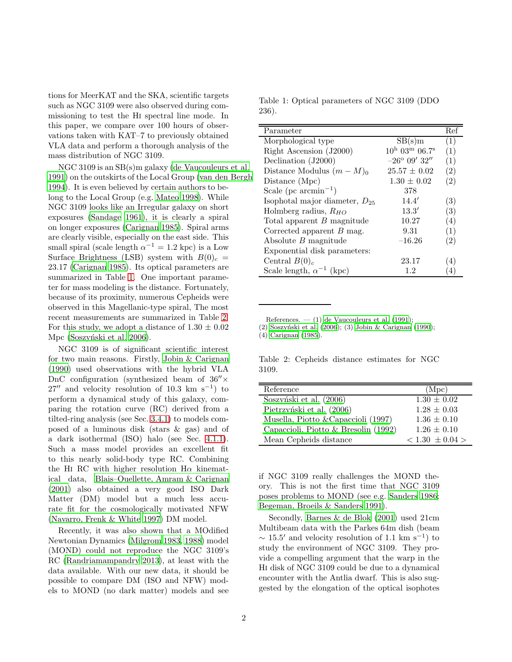tions for MeerKAT and the SKA, scientific targets such as NGC 3109 were also observed during commissioning to test the Hi spectral line mode. In this paper, we compare over 100 hours of observations taken with KAT–7 to previously obtained VLA data and perform a thorough analysis of the mass distribution of NGC 3109.

NGC 3109 is an SB(s)m galaxy [\(de Vaucouleurs et al.](#page-23-0) [1991\)](#page-23-0) on the outskirts of the Local Group [\(van den Bergh](#page-24-0) [1994\)](#page-24-0). It is even believed by certain authors to belong to the Local Group (e.g. [Mateo 1998\)](#page-23-1). While NGC 3109 looks like an Irregular galaxy on short exposures [\(Sandage 1961\)](#page-24-1), it is clearly a spiral on longer exposures [\(Carignan 1985\)](#page-23-2). Spiral arms are clearly visible, especially on the east side. This small spiral (scale length  $\alpha^{-1} = 1.2$  kpc) is a Low Surface Brightness (LSB) system with  $B(0)_c =$ 23.17 [\(Carignan 1985\)](#page-23-2). Its optical parameters are summarized in Table [1.](#page-1-0) One important parameter for mass modeling is the distance. Fortunately, because of its proximity, numerous Cepheids were observed in this Magellanic-type spiral, The most recent measurements are summarized in Table [2.](#page-1-1) For this study, we adopt a distance of  $1.30 \pm 0.02$ Mpc (Soszyński et al. 2006).

NGC 3109 is of significant scientific interest for two main reasons. Firstly, [Jobin & Carignan](#page-23-3) [\(1990\)](#page-23-3) used observations with the hybrid VLA DnC configuration (synthesized beam of  $36'' \times$  $27''$  and velocity resolution of 10.3 km s<sup>-1</sup>) to perform a dynamical study of this galaxy, comparing the rotation curve (RC) derived from a tilted-ring analysis (see Sec. [3.4.1\)](#page-8-0) to models composed of a luminous disk (stars & gas) and of a dark isothermal (ISO) halo (see Sec. [4.1.1\)](#page-12-0). Such a mass model provides an excellent fit to this nearly solid-body type RC. Combining the H<sub>I</sub> RC with higher resolution  $H\alpha$  kinematical data, [Blais–Ouellette, Amram & Carignan](#page-23-4) [\(2001\)](#page-23-4) also obtained a very good ISO Dark Matter (DM) model but a much less accurate fit for the cosmologically motivated NFW [\(Navarro, Frenk & White 1997\)](#page-24-3) DM model.

Recently, it was also shown that a MOdified Newtonian Dynamics [\(Milgrom 1983,](#page-24-4) [1988\)](#page-24-5) model (MOND) could not reproduce the NGC 3109's RC [\(Randriamampandry 2013\)](#page-24-6), at least with the data available. With our new data, it should be possible to compare DM (ISO and NFW) models to MOND (no dark matter) models and see

<span id="page-1-0"></span>Table 1: Optical parameters of NGC 3109 (DDO 236).

| Parameter                          |                                                | Ref               |
|------------------------------------|------------------------------------------------|-------------------|
| Morphological type                 | SB(s)m                                         | (1)               |
| Right Ascension (J2000)            | $10^{\rm h}$ 03 <sup>m</sup> 06.7 <sup>s</sup> | (1)               |
| Declination (J2000)                | $-26^{\circ}$ 09' 32"                          | (1)               |
| Distance Modulus $(m-M)_0$         | $25.57 \pm 0.02$                               | (2)               |
| Distance (Mpc)                     | $1.30 \pm 0.02$                                | (2)               |
| Scale (pc $\rm{arcmin}^{-1}$ )     | 378                                            |                   |
| Isophotal major diameter, $D_{25}$ | 14.4'                                          | (3)               |
| Holmberg radius, $R_{HO}$          | 13.3'                                          | (3)               |
| Total apparent B magnitude         | 10.27                                          | (4)               |
| Corrected apparent $B$ mag.        | 9.31                                           | (1)               |
| Absolute $B$ magnitude             | $-16.26$                                       | $\left( 2\right)$ |
| Exponential disk parameters:       |                                                |                   |
| Central $B(0)_c$                   | 23.17                                          | (4)               |
| Scale length, $\alpha^{-1}$ (kpc)  | 1.2                                            | 4                 |

References. — (1) [de Vaucouleurs et al. \(1991\)](#page-23-0);

(2) Soszyński et al. (2006); (3) [Jobin & Carignan \(1990\)](#page-23-3);

(4) [Carignan \(1985](#page-23-2)).

<span id="page-1-1"></span>Table 2: Cepheids distance estimates for NGC 3109.

| Reference                            | (Mpc)               |
|--------------------------------------|---------------------|
| Soszyński et al. (2006)              | $1.30 \pm 0.02$     |
| Pietrzyński et al. (2006)            | $1.28 \pm 0.03$     |
| Musella, Piotto & Capaccioli (1997)  | $1.36 \pm 0.10$     |
| Capaccioli, Piotto & Bresolin (1992) | $1.26 \pm 0.10$     |
| Mean Cepheids distance               | $< 1.30 \pm 0.04 >$ |

if NGC 3109 really challenges the MOND theory. This is not the first time that NGC 3109 poses problems to MOND (see e.g. [Sanders 1986;](#page-24-9) [Begeman, Broeils & Sanders 1991\)](#page-23-6).

Secondly, [Barnes & de Blok \(2001\)](#page-23-7) used 21cm Multibeam data with the Parkes 64m dish (beam  $\sim$  15.5' and velocity resolution of 1.1 km s<sup>-1</sup>) to study the environment of NGC 3109. They provide a compelling argument that the warp in the Hi disk of NGC 3109 could be due to a dynamical encounter with the Antlia dwarf. This is also suggested by the elongation of the optical isophotes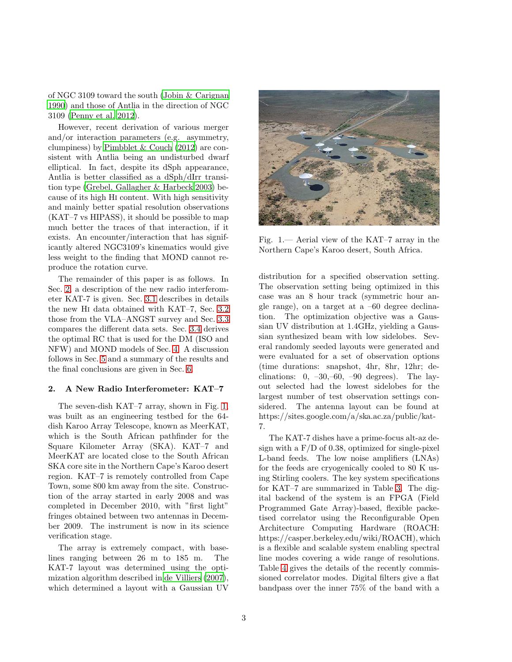of NGC 3109 toward the south [\(Jobin & Carignan](#page-23-3) [1990\)](#page-23-3) and those of Antlia in the direction of NGC 3109 [\(Penny et al. 2012\)](#page-24-10).

However, recent derivation of various merger and/or interaction parameters (e.g. asymmetry, clumpiness) by [Pimbblet & Couch \(2012\)](#page-24-11) are consistent with Antlia being an undisturbed dwarf elliptical. In fact, despite its dSph appearance, Antlia is better classified as a dSph/dIrr transition type [\(Grebel, Gallagher & Harbeck 2003\)](#page-23-8) because of its high Hi content. With high sensitivity and mainly better spatial resolution observations (KAT–7 vs HIPASS), it should be possible to map much better the traces of that interaction, if it exists. An encounter/interaction that has significantly altered NGC3109's kinematics would give less weight to the finding that MOND cannot reproduce the rotation curve.

The remainder of this paper is as follows. In Sec. [2,](#page-2-0) a description of the new radio interferometer KAT-7 is given. Sec. [3.1](#page-3-0) describes in details the new Hi data obtained with KAT–7, Sec. [3.2](#page-6-0) those from the VLA–ANGST survey and Sec. [3.3](#page-7-0) compares the different data sets. Sec. [3.4](#page-8-1) derives the optimal RC that is used for the DM (ISO and NFW) and MOND models of Sec. [4.](#page-11-0) A discussion follows in Sec. [5](#page-16-0) and a summary of the results and the final conclusions are given in Sec. [6.](#page-18-0)

#### <span id="page-2-0"></span>2. A New Radio Interferometer: KAT–7

The seven-dish KAT–7 array, shown in Fig. [1,](#page-2-1) was built as an engineering testbed for the 64 dish Karoo Array Telescope, known as MeerKAT, which is the South African pathfinder for the Square Kilometer Array (SKA). KAT–7 and MeerKAT are located close to the South African SKA core site in the Northern Cape's Karoo desert region. KAT–7 is remotely controlled from Cape Town, some 800 km away from the site. Construction of the array started in early 2008 and was completed in December 2010, with "first light" fringes obtained between two antennas in December 2009. The instrument is now in its science verification stage.

The array is extremely compact, with baselines ranging between 26 m to 185 m. The KAT-7 layout was determined using the optimization algorithm described in [de Villiers \(2007\)](#page-23-9), which determined a layout with a Gaussian UV



Fig. 1.— Aerial view of the KAT–7 array in the Northern Cape's Karoo desert, South Africa.

<span id="page-2-1"></span>distribution for a specified observation setting. The observation setting being optimized in this case was an 8 hour track (symmetric hour angle range), on a target at a –60 degree declination. The optimization objective was a Gaussian UV distribution at 1.4GHz, yielding a Gaussian synthesized beam with low sidelobes. Several randomly seeded layouts were generated and were evaluated for a set of observation options (time durations: snapshot, 4hr, 8hr, 12hr; declinations:  $0, -30, -60, -90$  degrees). The layout selected had the lowest sidelobes for the largest number of test observation settings considered. The antenna layout can be found at https://sites.google.com/a/ska.ac.za/public/kat-7.

The KAT-7 dishes have a prime-focus alt-az design with a  $F/D$  of 0.38, optimized for single-pixel L-band feeds. The low noise amplifiers (LNAs) for the feeds are cryogenically cooled to 80 K using Stirling coolers. The key system specifications for KAT–7 are summarized in Table [3.](#page-3-1) The digital backend of the system is an FPGA (Field Programmed Gate Array)-based, flexible packetised correlator using the Reconfigurable Open Architecture Computing Hardware (ROACH: https://casper.berkeley.edu/wiki/ROACH), which is a flexible and scalable system enabling spectral line modes covering a wide range of resolutions. Table [4](#page-3-2) gives the details of the recently commissioned correlator modes. Digital filters give a flat bandpass over the inner 75% of the band with a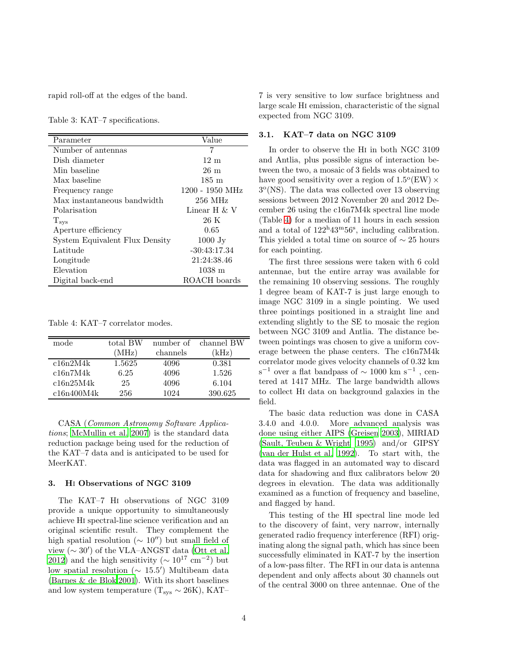rapid roll-off at the edges of the band.

<span id="page-3-1"></span>Table 3: KAT–7 specifications.

| Parameter                      | Value                |
|--------------------------------|----------------------|
| Number of antennas             | 7                    |
| Dish diameter                  | $12 \text{ m}$       |
| Min baseline                   | 26 m                 |
| Max baseline                   | $185 \text{ m}$      |
| Frequency range                | $1200 - 1950$ MHz    |
| Max instantaneous bandwidth    | $256$ MHz            |
| Polarisation                   | Linear H $\&$ V      |
| $T_{sys}$                      | 26 K                 |
| Aperture efficiency            | 0.65                 |
| System Equivalent Flux Density | $1000$ Jy            |
| Latitude                       | $-30:43:17.34$       |
| Longitude                      | 21:24:38.46          |
| Elevation                      | $1038 \; \mathrm{m}$ |
| Digital back-end               | ROACH boards         |

<span id="page-3-2"></span>Table 4: KAT–7 correlator modes.

| mode       | total BW | number of | channel BW |
|------------|----------|-----------|------------|
|            | (MHz)    | channels  | `kHz)      |
| c16n2M4k   | 1.5625   | 4096      | 0.381      |
| c16n7M4k   | 6.25     | 4096      | 1.526      |
| c16n25M4k  | 25       | 4096      | 6.104      |
| c16n400M4k | 256      | 1024      | 390.625    |

CASA (Common Astronomy Software Applications; [McMullin et al. 2007\)](#page-24-12) is the standard data reduction package being used for the reduction of the KAT–7 data and is anticipated to be used for MeerKAT.

## 3. Hi Observations of NGC 3109

The KAT–7 Hi observations of NGC 3109 provide a unique opportunity to simultaneously achieve Hi spectral-line science verification and an original scientific result. They complement the high spatial resolution ( $\sim 10''$ ) but small field of view  $(\sim 30')$  of the VLA–ANGST data [\(Ott et al.](#page-24-13) [2012\)](#page-24-13) and the high sensitivity ( $\sim 10^{17}$  cm<sup>-2</sup>) but low spatial resolution (∼ 15.5 ′ ) Multibeam data [\(Barnes & de Blok 2001\)](#page-23-7). With its short baselines and low system temperature ( $T_{sys} \sim 26K$ ), KAT–

7 is very sensitive to low surface brightness and large scale Hi emission, characteristic of the signal expected from NGC 3109.

#### <span id="page-3-0"></span>3.1. KAT–7 data on NGC 3109

In order to observe the Hi in both NGC 3109 and Antlia, plus possible signs of interaction between the two, a mosaic of 3 fields was obtained to have good sensitivity over a region of  $1.5^{\rm o}({\rm EW})\times$ 3 o (NS). The data was collected over 13 observing sessions between 2012 November 20 and 2012 December 26 using the c16n7M4k spectral line mode (Table [4\)](#page-3-2) for a median of 11 hours in each session and a total of  $122^{\mathrm{h}}43^{\mathrm{m}}56^{\mathrm{s}}$ , including calibration. This yielded a total time on source of  $\sim$  25 hours for each pointing.

The first three sessions were taken with 6 cold antennae, but the entire array was available for the remaining 10 observing sessions. The roughly 1 degree beam of KAT-7 is just large enough to image NGC 3109 in a single pointing. We used three pointings positioned in a straight line and extending slightly to the SE to mosaic the region between NGC 3109 and Antlia. The distance between pointings was chosen to give a uniform coverage between the phase centers. The c16n7M4k correlator mode gives velocity channels of 0.32 km s<sup>-1</sup> over a flat bandpass of  $\sim$  1000 km s<sup>-1</sup>, centered at 1417 MHz. The large bandwidth allows to collect Hi data on background galaxies in the field.

The basic data reduction was done in CASA 3.4.0 and 4.0.0. More advanced analysis was done using either AIPS [\(Greisen 2003\)](#page-23-10), MIRIAD [\(Sault, Teuben & Wright 1995](#page-24-14)) and/or GIPSY [\(van der Hulst et al. 1992\)](#page-24-15). To start with, the data was flagged in an automated way to discard data for shadowing and flux calibrators below 20 degrees in elevation. The data was additionally examined as a function of frequency and baseline, and flagged by hand.

This testing of the HI spectral line mode led to the discovery of faint, very narrow, internally generated radio frequency interference (RFI) originating along the signal path, which has since been successfully eliminated in KAT-7 by the insertion of a low-pass filter. The RFI in our data is antenna dependent and only affects about 30 channels out of the central 3000 on three antennae. One of the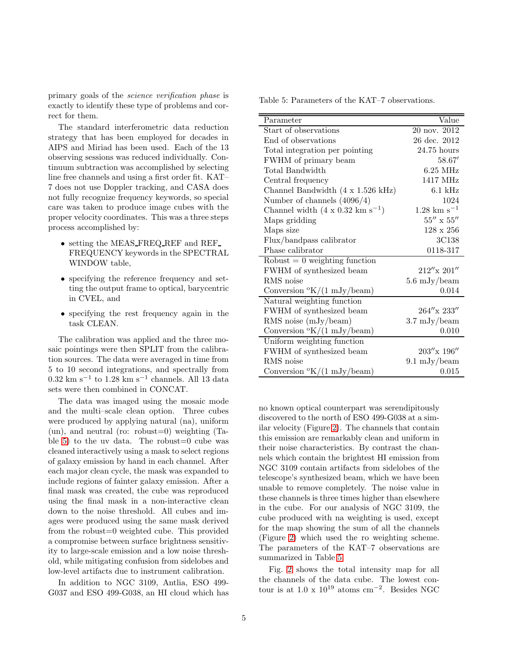primary goals of the science verification phase is exactly to identify these type of problems and correct for them.

The standard interferometric data reduction strategy that has been employed for decades in AIPS and Miriad has been used. Each of the 13 observing sessions was reduced individually. Continuum subtraction was accomplished by selecting line free channels and using a first order fit. KAT– 7 does not use Doppler tracking, and CASA does not fully recognize frequency keywords, so special care was taken to produce image cubes with the proper velocity coordinates. This was a three steps process accomplished by:

- setting the MEAS FREQ REF and REF FREQUENCY keywords in the SPECTRAL WINDOW table,
- specifying the reference frequency and setting the output frame to optical, barycentric in CVEL, and
- specifying the rest frequency again in the task CLEAN.

The calibration was applied and the three mosaic pointings were then SPLIT from the calibration sources. The data were averaged in time from 5 to 10 second integrations, and spectrally from  $0.32~{\rm km~s^{-1}}$  to  $1.28~{\rm km~s^{-1}}$  channels. All 13 data sets were then combined in CONCAT.

The data was imaged using the mosaic mode and the multi–scale clean option. Three cubes were produced by applying natural (na), uniform  $(un),$  and neutral (ro: robust=0) weighting (Ta-ble [5\)](#page-4-0) to the uv data. The robust=0 cube was cleaned interactively using a mask to select regions of galaxy emission by hand in each channel. After each major clean cycle, the mask was expanded to include regions of fainter galaxy emission. After a final mask was created, the cube was reproduced using the final mask in a non-interactive clean down to the noise threshold. All cubes and images were produced using the same mask derived from the robust=0 weighted cube. This provided a compromise between surface brightness sensitivity to large-scale emission and a low noise threshold, while mitigating confusion from sidelobes and low-level artifacts due to instrument calibration.

In addition to NGC 3109, Antlia, ESO 499- G037 and ESO 499-G038, an HI cloud which has Table 5: Parameters of the KAT–7 observations.

<span id="page-4-0"></span>

| Parameter                                         | Value                                     |
|---------------------------------------------------|-------------------------------------------|
| Start of observations                             | 20 nov. 2012                              |
| End of observations                               | 26 dec. 2012                              |
| Total integration per pointing                    | 24.75 hours                               |
| FWHM of primary beam                              | 58.67'                                    |
| Total Bandwidth                                   | $6.25$ MHz                                |
| Central frequency                                 | 1417 MHz                                  |
| Channel Bandwidth (4 x 1.526 kHz)                 | $6.1$ kHz                                 |
| Number of channels $(4096/4)$                     | 1024                                      |
| Channel width $(4 \times 0.32 \text{ km s}^{-1})$ | $1.28 \text{ km s}^{-1}$                  |
| Maps gridding                                     | $55^{\prime\prime}$ x $55^{\prime\prime}$ |
| Maps size                                         | $128 \times 256$                          |
| Flux/bandpass calibrator                          | 3C138                                     |
| Phase calibrator                                  | 0118-317                                  |
| Robust $= 0$ weighting function                   |                                           |
| FWHM of synthesized beam                          | $212''$ x $201''$                         |
| RMS noise                                         | $5.6 \mathrm{mJy/beam}$                   |
| Conversion $\mathrm{K}/(1 \mathrm{mJy/beam})$     | 0.014                                     |
| Natural weighting function                        |                                           |
| FWHM of synthesized beam                          | 264"x 233"                                |
| RMS noise $(mJy/beam)$                            | $3.7 \mathrm{mJy/beam}$                   |
| Conversion $\mathrm{O}(K/(1 \text{ mJy/beam})$    | 0.010                                     |
| Uniform weighting function                        |                                           |
| FWHM of synthesized beam                          | 203''x 196''                              |
| RMS noise                                         | $9.1 \mathrm{mJy/beam}$                   |
| Conversion $\mathrm{K}/(1 \mathrm{mJy/beam})$     | 0.015                                     |

no known optical counterpart was serendipitously discovered to the north of ESO 499-G038 at a similar velocity (Figure [2\)](#page-5-0). The channels that contain this emission are remarkably clean and uniform in their noise characteristics. By contrast the channels which contain the brightest HI emission from NGC 3109 contain artifacts from sidelobes of the telescope's synthesized beam, which we have been unable to remove completely. The noise value in these channels is three times higher than elsewhere in the cube. For our analysis of NGC 3109, the cube produced with na weighting is used, except for the map showing the sum of all the channels (Figure [2\)](#page-5-0) which used the ro weighting scheme. The parameters of the KAT–7 observations are summarized in Table [5.](#page-4-0)

Fig. [2](#page-5-0) shows the total intensity map for all the channels of the data cube. The lowest contour is at  $1.0 \times 10^{19}$  atoms cm<sup>-2</sup>. Besides NGC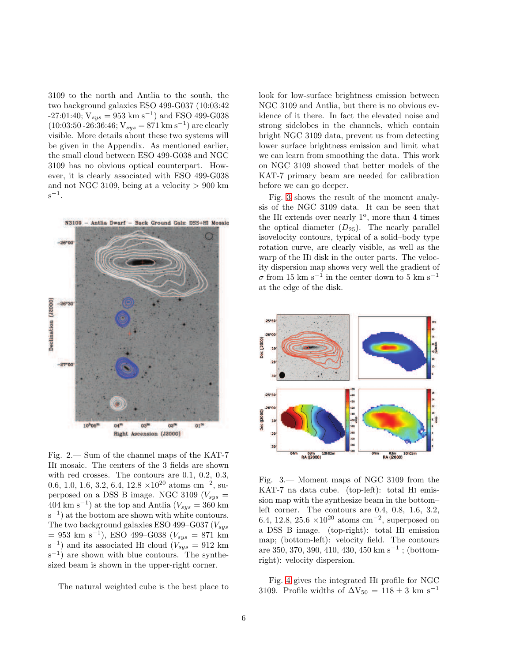3109 to the north and Antlia to the south, the two background galaxies ESO 499-G037 (10:03:42  $-27:01:40; V_{sys} = 953 \text{ km s}^{-1}$  and ESO 499-G038  $(10:03:50-26:36:46; V_{sys} = 871 \text{ km s}^{-1})$  are clearly visible. More details about these two systems will be given in the Appendix. As mentioned earlier, the small cloud between ESO 499-G038 and NGC 3109 has no obvious optical counterpart. However, it is clearly associated with ESO 499-G038 and not NGC 3109, being at a velocity  $> 900$  km  $s^{-1}$ .



<span id="page-5-0"></span>Fig. 2.— Sum of the channel maps of the KAT-7 Hi mosaic. The centers of the 3 fields are shown with red crosses. The contours are 0.1, 0.2, 0.3, 0.6, 1.0, 1.6, 3.2, 6.4, 12.8  $\times$ 10<sup>20</sup> atoms cm<sup>-2</sup>, superposed on a DSS B image. NGC 3109 ( $V_{sys}$  =  $404 \text{ km s}^{-1}$ ) at the top and Antlia  $(V_{sys} = 360 \text{ km})$ s<sup>-1</sup>) at the bottom are shown with white contours. The two background galaxies ESO 499-G037  $(V_{sys}$  $= 953$  km s<sup>-1</sup>), ESO 499-G038 ( $V_{sys} = 871$  km  $(s^{-1})$  and its associated HI cloud  $(V_{sys} = 912 \text{ km})$ s<sup>-1</sup>) are shown with blue contours. The synthesized beam is shown in the upper-right corner.

The natural weighted cube is the best place to

look for low-surface brightness emission between NGC 3109 and Antlia, but there is no obvious evidence of it there. In fact the elevated noise and strong sidelobes in the channels, which contain bright NGC 3109 data, prevent us from detecting lower surface brightness emission and limit what we can learn from smoothing the data. This work on NGC 3109 showed that better models of the KAT-7 primary beam are needed for calibration before we can go deeper.

Fig. [3](#page-5-1) shows the result of the moment analysis of the NGC 3109 data. It can be seen that the HI extends over nearly  $1^{\circ}$ , more than 4 times the optical diameter  $(D_{25})$ . The nearly parallel isovelocity contours, typical of a solid–body type rotation curve, are clearly visible, as well as the warp of the Hi disk in the outer parts. The velocity dispersion map shows very well the gradient of  $\sigma$  from 15 km s<sup>-1</sup> in the center down to 5 km s<sup>-1</sup> at the edge of the disk.



<span id="page-5-1"></span>Fig. 3.— Moment maps of NGC 3109 from the KAT-7 na data cube. (top-left): total Hi emission map with the synthesize beam in the bottom– left corner. The contours are 0.4, 0.8, 1.6, 3.2, 6.4, 12.8, 25.6 ×10<sup>20</sup> atoms cm<sup>-2</sup>, superposed on a DSS B image. (top-right): total Hi emission map; (bottom-left): velocity field. The contours are 350, 370, 390, 410, 430, 450 km s<sup>−</sup><sup>1</sup> ; (bottomright): velocity dispersion.

Fig. [4](#page-6-1) gives the integrated Hi profile for NGC 3109. Profile widths of  $\Delta V_{50} = 118 \pm 3$  km s<sup>-1</sup>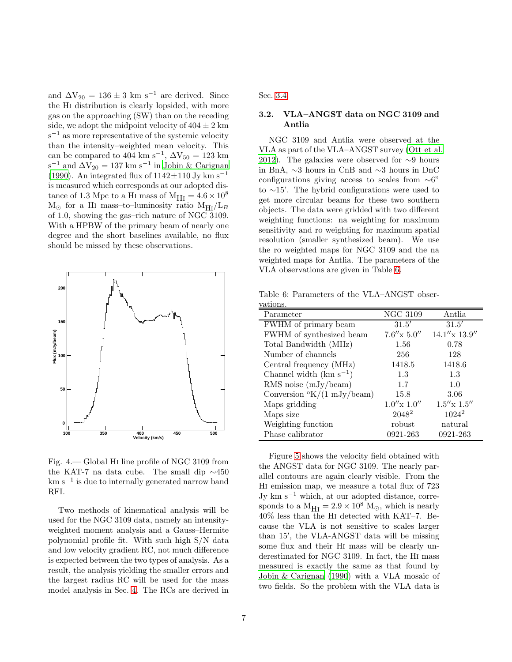and  $\Delta V_{20} = 136 \pm 3$  km s<sup>-1</sup> are derived. Since the Hi distribution is clearly lopsided, with more gas on the approaching (SW) than on the receding side, we adopt the midpoint velocity of  $404 \pm 2$  km s<sup>-1</sup> as more representative of the systemic velocity than the intensity–weighted mean velocity. This can be compared to 404 km s<sup>-1</sup>,  $\Delta V_{50} = 123$  km  $s^{-1}$  and  $\Delta V_{20} = 137$  km  $s^{-1}$  in [Jobin & Carignan](#page-23-3) [\(1990\)](#page-23-3). An integrated flux of  $1142 \pm 110$  Jy km s<sup>-1</sup> is measured which corresponds at our adopted distance of 1.3 Mpc to a HI mass of  $M_{\text{HI}} = 4.6 \times 10^8$  $M_{\odot}$  for a HI mass–to–luminosity ratio  $M_{\rm HI}/L_B$ of 1.0, showing the gas–rich nature of NGC 3109. With a HPBW of the primary beam of nearly one degree and the short baselines available, no flux should be missed by these observations.



<span id="page-6-1"></span>Fig. 4.— Global Hi line profile of NGC 3109 from the KAT-7 na data cube. The small dip ∼450 km s−<sup>1</sup> is due to internally generated narrow band RFI.

Two methods of kinematical analysis will be used for the NGC 3109 data, namely an intensityweighted moment analysis and a Gauss–Hermite polynomial profile fit. With such high S/N data and low velocity gradient RC, not much difference is expected between the two types of analysis. As a result, the analysis yielding the smaller errors and the largest radius RC will be used for the mass model analysis in Sec. [4.](#page-11-0) The RCs are derived in <span id="page-6-0"></span>Sec. [3.4.](#page-8-1)

## 3.2. VLA–ANGST data on NGC 3109 and Antlia

NGC 3109 and Antlia were observed at the VLA as part of the VLA–ANGST survey [\(Ott et al.](#page-24-13) [2012\)](#page-24-13). The galaxies were observed for  $\sim$ 9 hours in BnA, ∼3 hours in CnB and ∼3 hours in DnC configurations giving access to scales from  $\sim 6$ " to ∼15'. The hybrid configurations were used to get more circular beams for these two southern objects. The data were gridded with two different weighting functions: na weighting for maximum sensitivity and ro weighting for maximum spatial resolution (smaller synthesized beam). We use the ro weighted maps for NGC 3109 and the na weighted maps for Antlia. The parameters of the VLA observations are given in Table [6.](#page-6-2)

Table 6: Parameters of the VLA–ANGST observations.

<span id="page-6-2"></span>

| , were the                                  |                              |                      |
|---------------------------------------------|------------------------------|----------------------|
| Parameter                                   | $\overline{\text{NGC}}$ 3109 | Antlia               |
| FWHM of primary beam                        | 31.5'                        | 31.5'                |
| FWHM of synthesized beam                    | $7.6'' \times 5.0''$         | $14.1''$ x $13.9''$  |
| Total Bandwidth (MHz)                       | 1.56                         | 0.78                 |
| Number of channels                          | 256                          | 128                  |
| Central frequency (MHz)                     | 1418.5                       | 1418.6               |
| Channel width $(km s^{-1})$                 | 1.3                          | 1.3                  |
| RMS noise $(mJy/beam)$                      | 1.7                          | 1.0                  |
| Conversion $\mathrm{O}(1 \text{ mJy/beam})$ | 15.8                         | 3.06                 |
| Maps gridding                               | $1.0''$ x $1.0''$            | $1.5'' \times 1.5''$ |
| Maps size                                   | 2048 <sup>2</sup>            | $1024^2$             |
| Weighting function                          | robust                       | natural              |
| Phase calibrator                            | 0921-263                     | 0921-263             |

Figure [5](#page-7-1) shows the velocity field obtained with the ANGST data for NGC 3109. The nearly parallel contours are again clearly visible. From the Hi emission map, we measure a total flux of 723 Jy km s−<sup>1</sup> which, at our adopted distance, corresponds to a  $M_{\text{H I}} = 2.9 \times 10^8$  M<sub>☉</sub>, which is nearly 40% less than the Hi detected with KAT–7. Because the VLA is not sensitive to scales larger than 15′ , the VLA-ANGST data will be missing some flux and their Hi mass will be clearly underestimated for NGC 3109. In fact, the Hi mass measured is exactly the same as that found by [Jobin & Carignan \(1990](#page-23-3)) with a VLA mosaic of two fields. So the problem with the VLA data is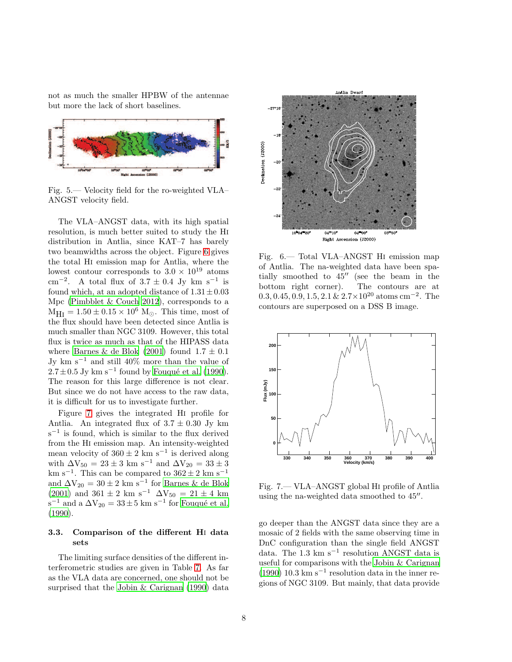not as much the smaller HPBW of the antennae but more the lack of short baselines.



<span id="page-7-1"></span>Fig. 5.— Velocity field for the ro-weighted VLA– ANGST velocity field.

The VLA–ANGST data, with its high spatial resolution, is much better suited to study the Hi distribution in Antlia, since KAT–7 has barely two beamwidths across the object. Figure [6](#page-7-2) gives the total Hi emission map for Antlia, where the lowest contour corresponds to  $3.0 \times 10^{19}$  atoms cm<sup>-2</sup>. A total flux of  $3.7 \pm 0.4$  Jy km s<sup>-1</sup> is found which, at an adopted distance of  $1.31 \pm 0.03$ Mpc [\(Pimbblet & Couch 2012\)](#page-24-11), corresponds to a  $M_{\text{H I}} = 1.50 \pm 0.15 \times 10^6$  M<sub>☉</sub>. This time, most of the flux should have been detected since Antlia is much smaller than NGC 3109. However, this total flux is twice as much as that of the HIPASS data where [Barnes & de Blok \(2001\)](#page-23-7) found  $1.7 \pm 0.1$ Jy km s<sup>−</sup><sup>1</sup> and still 40% more than the value of  $2.7 \pm 0.5$  Jy km s<sup>-1</sup> found by Fouqué et al. (1990). The reason for this large difference is not clear. But since we do not have access to the raw data, it is difficult for us to investigate further.

Figure [7](#page-7-3) gives the integrated Hi profile for Antlia. An integrated flux of  $3.7 \pm 0.30$  Jy km s −1 is found, which is similar to the flux derived from the Hi emission map. An intensity-weighted mean velocity of  $360 \pm 2 \text{ km s}^{-1}$  is derived along with  $\Delta V_{50} = 23 \pm 3$  km s<sup>-1</sup> and  $\Delta V_{20} = 33 \pm 3$ km s<sup>-1</sup>. This can be compared to  $362 \pm 2$  km s<sup>-1</sup> and  $\Delta V_{20} = 30 \pm 2 \text{ km s}^{-1}$  for [Barnes & de Blok](#page-23-7) [\(2001\)](#page-23-7) and  $361 \pm 2$  km s<sup>-1</sup>  $\Delta V_{50} = 21 \pm 4$  km  $s^{-1}$  and a  $\Delta V_{20} = 33 \pm 5$  km  $s^{-1}$  for Fouqué et al. [\(1990\)](#page-23-11).

## <span id="page-7-0"></span>3.3. Comparison of the different Hi data sets

The limiting surface densities of the different interferometric studies are given in Table [7.](#page-8-2) As far as the VLA data are concerned, one should not be surprised that the [Jobin & Carignan \(1990\)](#page-23-3) data



<span id="page-7-2"></span>Fig. 6.— Total VLA–ANGST Hi emission map of Antlia. The na-weighted data have been spatially smoothed to 45′′ (see the beam in the bottom right corner). The contours are at  $0.3, 0.45, 0.9, 1.5, 2.1 \& 2.7 \times 10^{20}$  atoms cm<sup>-2</sup>. The contours are superposed on a DSS B image.



<span id="page-7-3"></span>Fig. 7.— VLA–ANGST global Hi profile of Antlia using the na-weighted data smoothed to 45′′ .

go deeper than the ANGST data since they are a mosaic of 2 fields with the same observing time in DnC configuration than the single field ANGST data. The 1.3 km s<sup>-1</sup> resolution ANGST data is useful for comparisons with the [Jobin & Carignan](#page-23-3) [\(1990\)](#page-23-3) 10.3 km s<sup>-1</sup> resolution data in the inner regions of NGC 3109. But mainly, that data provide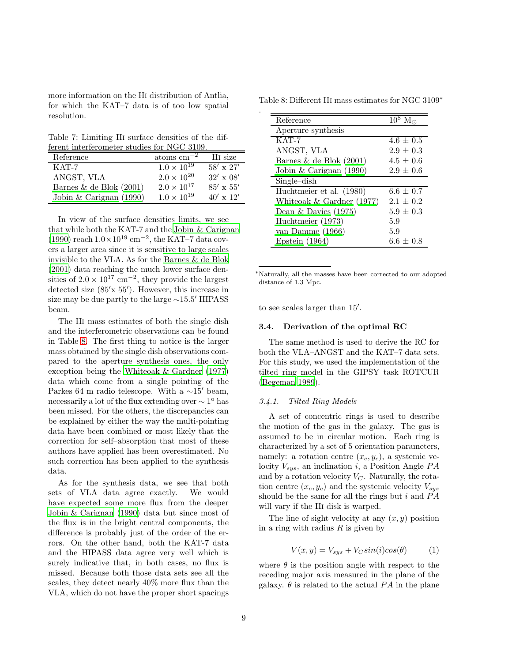more information on the Hi distribution of Antlia, for which the KAT–7 data is of too low spatial resolution.

<span id="page-8-2"></span>Table 7: Limiting Hi surface densities of the different interferometer studies for NGC 3109.

| Reference                 | $\text{atoms cm}^{-2}$ | H <sub>I</sub> size |
|---------------------------|------------------------|---------------------|
| $KAT-7$                   | $1.0 \times 10^{19}$   | $58' \times 27'$    |
| ANGST, VLA                | $2.0 \times 10^{20}$   | $32' \times 08'$    |
| Barnes & de Blok $(2001)$ | $2.0 \times 10^{17}$   | $85' \times 55'$    |
| Jobin & Carignan (1990)   | $1.0 \times 10^{19}$   | $40' \times 12'$    |

In view of the surface densities limits, we see that while both the KAT-7 and the [Jobin & Carignan](#page-23-3) [\(1990\)](#page-23-3) reach  $1.0 \times 10^{19}$  cm<sup>-2</sup>, the KAT-7 data covers a larger area since it is sensitive to large scales invisible to the VLA. As for the [Barnes & de Blok](#page-23-7) [\(2001\)](#page-23-7) data reaching the much lower surface densities of  $2.0 \times 10^{17}$  cm<sup>-2</sup>, they provide the largest detected size (85′x 55′ ). However, this increase in size may be due partly to the large <sup>∼</sup>15.5′ HIPASS beam.

The Hi mass estimates of both the single dish and the interferometric observations can be found in Table [8.](#page-8-3) The first thing to notice is the larger mass obtained by the single dish observations compared to the aperture synthesis ones, the only exception being the [Whiteoak & Gardner \(1977\)](#page-24-16) data which come from a single pointing of the Parkes 64 m radio telescope. With a <sup>∼</sup>15′ beam, necessarily a lot of the flux extending over  $\sim 1^{\circ}$  has been missed. For the others, the discrepancies can be explained by either the way the multi-pointing data have been combined or most likely that the correction for self–absorption that most of these authors have applied has been overestimated. No such correction has been applied to the synthesis data.

As for the synthesis data, we see that both sets of VLA data agree exactly. We would have expected some more flux from the deeper [Jobin & Carignan \(1990\)](#page-23-3) data but since most of the flux is in the bright central components, the difference is probably just of the order of the errors. On the other hand, both the KAT-7 data and the HIPASS data agree very well which is surely indicative that, in both cases, no flux is missed. Because both those data sets see all the scales, they detect nearly 40% more flux than the VLA, which do not have the proper short spacings

Table 8: Different Hi mass estimates for NGC 3109<sup>∗</sup>

<span id="page-8-3"></span>

| Reference                   | $\overline{10^8}$ M <sub>c</sub> |
|-----------------------------|----------------------------------|
| Aperture synthesis          |                                  |
| $KAT-7$                     | $4.6 \pm 0.5$                    |
| ANGST, VLA                  | $2.9 \pm 0.3$                    |
| Barnes & de Blok $(2001)$   | $4.5 \pm 0.6$                    |
| Jobin & Carignan $(1990)$   | $2.9 \pm 0.6$                    |
| $Single-dish$               |                                  |
| Huchtmeier et al. (1980)    | $6.6 \pm 0.7$                    |
| Whiteoak $&$ Gardner (1977) | $2.1 \pm 0.2$                    |
| Dean $&$ Davies (1975)      | $5.9 \pm 0.3$                    |
| Huchtmeier (1973)           | 5.9                              |
| van Damme (1966)            | 5.9                              |
| Epstein $(1964)$            | $6.6 \pm 0.8$                    |

<sup>∗</sup>Naturally, all the masses have been corrected to our adopted distance of 1.3 Mpc.

<span id="page-8-1"></span>to see scales larger than 15′ .

.

### 3.4. Derivation of the optimal RC

The same method is used to derive the RC for both the VLA–ANGST and the KAT–7 data sets. For this study, we used the implementation of the tilted ring model in the GIPSY task ROTCUR [\(Begeman 1989\)](#page-23-15).

#### <span id="page-8-0"></span>3.4.1. Tilted Ring Models

A set of concentric rings is used to describe the motion of the gas in the galaxy. The gas is assumed to be in circular motion. Each ring is characterized by a set of 5 orientation parameters, namely: a rotation centre  $(x_c, y_c)$ , a systemic velocity  $V_{sys}$ , an inclination i, a Position Angle  $PA$ and by a rotation velocity  $V_C$ . Naturally, the rotation centre  $(x_c, y_c)$  and the systemic velocity  $V_{sys}$ should be the same for all the rings but  $i$  and  $PA$ will vary if the Hi disk is warped.

The line of sight velocity at any  $(x, y)$  position in a ring with radius  $R$  is given by

$$
V(x,y) = V_{sys} + V_C \sin(i)\cos(\theta) \tag{1}
$$

where  $\theta$  is the position angle with respect to the receding major axis measured in the plane of the galaxy.  $\theta$  is related to the actual PA in the plane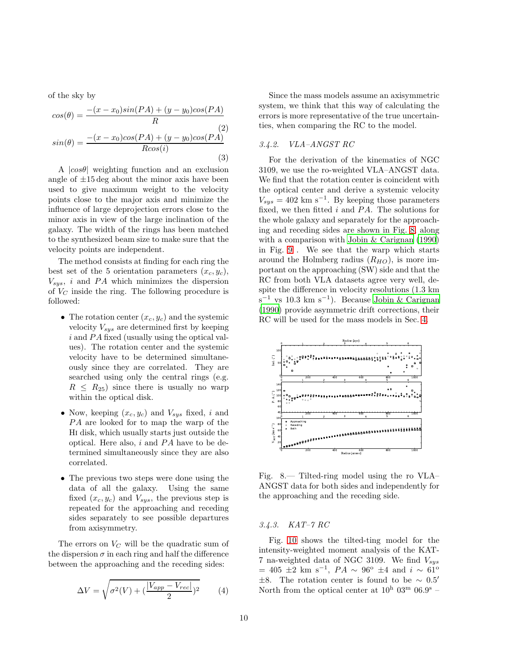of the sky by

$$
cos(\theta) = \frac{-(x - x_0)sin(PA) + (y - y_0)cos(PA)}{R}
$$
  
\n
$$
sin(\theta) = \frac{-(x - x_0)cos(PA) + (y - y_0)cos(PA)}{Rcos(i)}
$$
  
\n(3)

A  $|cos\theta|$  weighting function and an exclusion angle of  $\pm 15 \text{ deg}$  about the minor axis have been used to give maximum weight to the velocity points close to the major axis and minimize the influence of large deprojection errors close to the minor axis in view of the large inclination of the galaxy. The width of the rings has been matched to the synthesized beam size to make sure that the velocity points are independent.

The method consists at finding for each ring the best set of the 5 orientation parameters  $(x_c, y_c)$ ,  $V_{sus}$ , i and PA which minimizes the dispersion of  $V_C$  inside the ring. The following procedure is followed:

- The rotation center  $(x_c, y_c)$  and the systemic velocity  $V_{sus}$  are determined first by keeping  $i$  and PA fixed (usually using the optical values). The rotation center and the systemic velocity have to be determined simultaneously since they are correlated. They are searched using only the central rings (e.g.  $R \leq R_{25}$ ) since there is usually no warp within the optical disk.
- Now, keeping  $(x_c, y_c)$  and  $V_{sys}$  fixed, i and PA are looked for to map the warp of the Hi disk, which usually starts just outside the optical. Here also,  $i$  and  $PA$  have to be determined simultaneously since they are also correlated.
- The previous two steps were done using the data of all the galaxy. Using the same fixed  $(x_c, y_c)$  and  $V_{sys}$ , the previous step is repeated for the approaching and receding sides separately to see possible departures from axisymmetry.

The errors on  $V_C$  will be the quadratic sum of the dispersion  $\sigma$  in each ring and half the difference between the approaching and the receding sides:

$$
\Delta V = \sqrt{\sigma^2(V) + \left(\frac{|V_{app} - V_{rec}|}{2}\right)^2} \tag{4}
$$

Since the mass models assume an axisymmetric system, we think that this way of calculating the errors is more representative of the true uncertainties, when comparing the RC to the model.

## 3.4.2. VLA–ANGST RC

For the derivation of the kinematics of NGC 3109, we use the ro-weighted VLA–ANGST data. We find that the rotation center is coincident with the optical center and derive a systemic velocity  $V_{sys} = 402$  km s<sup>-1</sup>. By keeping those parameters fixed, we then fitted  $i$  and  $PA$ . The solutions for the whole galaxy and separately for the approaching and receding sides are shown in Fig. [8,](#page-9-0) along with a comparison with [Jobin & Carignan \(1990\)](#page-23-3) in Fig. [9](#page-10-0) . We see that the warp which starts around the Holmberg radius  $(R_{HO})$ , is more important on the approaching (SW) side and that the RC from both VLA datasets agree very well, despite the difference in velocity resolutions (1.3 km s<sup>-1</sup> vs 10.3 km s<sup>-1</sup>). Because [Jobin & Carignan](#page-23-3) [\(1990\)](#page-23-3) provide asymmetric drift corrections, their RC will be used for the mass models in Sec. [4.](#page-11-0)

![](_page_9_Figure_12.jpeg)

<span id="page-9-0"></span>Fig. 8.— Tilted-ring model using the ro VLA– ANGST data for both sides and independently for the approaching and the receding side.

## 3.4.3. KAT–7 RC

Fig. [10](#page-10-1) shows the tilted-ting model for the intensity-weighted moment analysis of the KAT-7 na-weighted data of NGC 3109. We find  $V_{sys}$  $= 405 \pm 2 \text{ km s}^{-1}$ ,  $PA \sim 96^{\circ} \pm 4$  and  $i \sim 61^{\circ}$ <sup>±</sup>8. The rotation center is found to be <sup>∼</sup> 0.5′ North from the optical center at  $10^{\rm h}$  03<sup>m</sup> 06.9<sup>s</sup> –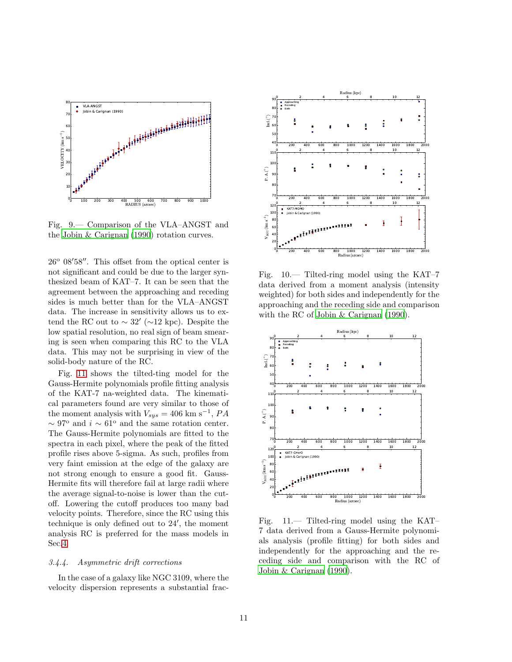![](_page_10_Figure_0.jpeg)

<span id="page-10-0"></span>Fig. 9.— Comparison of the VLA–ANGST and the [Jobin & Carignan \(1990](#page-23-3)) rotation curves.

 $26^{\circ}$  08'58". This offset from the optical center is not significant and could be due to the larger synthesized beam of KAT–7. It can be seen that the agreement between the approaching and receding sides is much better than for the VLA–ANGST data. The increase in sensitivity allows us to extend the RC out to  $\sim 32'$  ( $\sim 12$  kpc). Despite the low spatial resolution, no real sign of beam smearing is seen when comparing this RC to the VLA data. This may not be surprising in view of the solid-body nature of the RC.

Fig. [11](#page-10-2) shows the tilted-ting model for the Gauss-Hermite polynomials profile fitting analysis of the KAT-7 na-weighted data. The kinematical parameters found are very similar to those of the moment analysis with  $V_{sys} = 406$  km s<sup>-1</sup>,  $PA$  $\sim$  97° and  $i \sim$  61° and the same rotation center. The Gauss-Hermite polynomials are fitted to the spectra in each pixel, where the peak of the fitted profile rises above 5-sigma. As such, profiles from very faint emission at the edge of the galaxy are not strong enough to ensure a good fit. Gauss-Hermite fits will therefore fail at large radii where the average signal-to-noise is lower than the cutoff. Lowering the cutoff produces too many bad velocity points. Therefore, since the RC using this technique is only defined out to 24′ , the moment analysis RC is preferred for the mass models in Sec[.4.](#page-11-0)

## 3.4.4. Asymmetric drift corrections

In the case of a galaxy like NGC 3109, where the velocity dispersion represents a substantial frac-

![](_page_10_Figure_6.jpeg)

<span id="page-10-1"></span>Fig. 10.— Tilted-ring model using the KAT–7 data derived from a moment analysis (intensity weighted) for both sides and independently for the approaching and the receding side and comparison with the RC of [Jobin & Carignan \(1990\)](#page-23-3).

![](_page_10_Figure_8.jpeg)

<span id="page-10-2"></span>Fig. 11.— Tilted-ring model using the KAT– 7 data derived from a Gauss-Hermite polynomials analysis (profile fitting) for both sides and independently for the approaching and the receding side and comparison with the RC of [Jobin & Carignan \(1990\)](#page-23-3).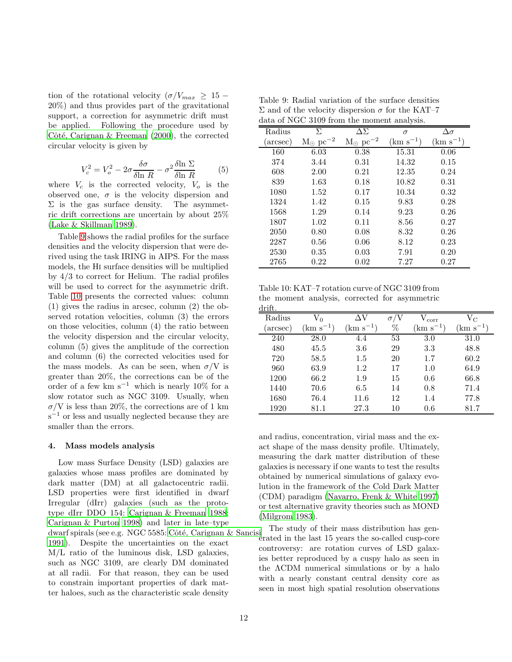tion of the rotational velocity  $(\sigma/V_{max} \geq 15 -$ 20%) and thus provides part of the gravitational support, a correction for asymmetric drift must be applied. Following the procedure used by Côté, Carignan & Freeman  $(2000)$ , the corrected circular velocity is given by

$$
V_c^2 = V_o^2 - 2\sigma \frac{\delta \sigma}{\delta \ln R} - \sigma^2 \frac{\delta \ln \Sigma}{\delta \ln R}
$$
 (5)

where  $V_c$  is the corrected velocity,  $V_o$  is the observed one,  $\sigma$  is the velocity dispersion and  $\Sigma$  is the gas surface density. The asymmetric drift corrections are uncertain by about 25% [\(Lake & Skillman 1989\)](#page-23-17).

Table [9](#page-11-1) shows the radial profiles for the surface densities and the velocity dispersion that were derived using the task IRING in AIPS. For the mass models, the Hi surface densities will be multiplied by 4/3 to correct for Helium. The radial profiles will be used to correct for the asymmetric drift. Table [10](#page-11-2) presents the corrected values: column (1) gives the radius in arcsec, column (2) the observed rotation velocities, column (3) the errors on those velocities, column (4) the ratio between the velocity dispersion and the circular velocity, column (5) gives the amplitude of the correction and column (6) the corrected velocities used for the mass models. As can be seen, when  $\sigma/V$  is greater than 20%, the corrections can be of the order of a few km s<sup>-1</sup> which is nearly 10% for a slow rotator such as NGC 3109. Usually, when  $\sigma/V$  is less than 20%, the corrections are of 1 km  $s^{-1}$  or less and usually neglected because they are smaller than the errors.

#### <span id="page-11-0"></span>4. Mass models analysis

Low mass Surface Density (LSD) galaxies are galaxies whose mass profiles are dominated by dark matter (DM) at all galactocentric radii. LSD properties were first identified in dwarf Irregular (dIrr) galaxies (such as the prototype dIrr DDO 154: [Carignan & Freeman 1988;](#page-23-18) [Carignan & Purton 1998\)](#page-23-19) and later in late–type dwarf spirals (see e.g. NGC 5585: Côté, Carignan & Sancisi [1991\)](#page-23-20). Despite the uncertainties on the exact M/L ratio of the luminous disk, LSD galaxies, such as NGC 3109, are clearly DM dominated at all radii. For that reason, they can be used to constrain important properties of dark matter haloes, such as the characteristic scale density

<span id="page-11-1"></span>Table 9: Radial variation of the surface densities Σ and of the velocity dispersion  $\sigma$  for the KAT–7 data of NGC 3109 from the moment analysis.

| Radius  | $\Sigma$                     | AЯ                           | $\sigma$           | $\Delta \sigma$ |
|---------|------------------------------|------------------------------|--------------------|-----------------|
| arcsec) | $M_{\odot}$ pc <sup>-2</sup> | $M_{\odot}$ pc <sup>-2</sup> | $\rm (km\;s^{-1})$ | $(km s^{-1})$   |
| 160     | 6.03                         | 0.38                         | 15.31              | 0.06            |
| 374     | 3.44                         | 0.31                         | 14.32              | 0.15            |
| 608     | 2.00                         | 0.21                         | 12.35              | 0.24            |
| 839     | 1.63                         | 0.18                         | 10.82              | 0.31            |
| 1080    | 1.52                         | 0.17                         | 10.34              | 0.32            |
| 1324    | 1.42                         | 0.15                         | 9.83               | 0.28            |
| 1568    | 1.29                         | 0.14                         | 9.23               | 0.26            |
| 1807    | 1.02                         | 0.11                         | 8.56               | 0.27            |
| 2050    | 0.80                         | 0.08                         | 8.32               | 0.26            |
| 2287    | 0.56                         | 0.06                         | 8.12               | 0.23            |
| 2530    | 0.35                         | 0.03                         | 7.91               | 0.20            |
| 2765    | 0.22                         | 0.02                         | 7.27               | 0.27            |
|         |                              |                              |                    |                 |

<span id="page-11-2"></span>Table 10: KAT–7 rotation curve of NGC 3109 from the moment analysis, corrected for asymmetric drift.

| .       |             |             |    |                |                    |
|---------|-------------|-------------|----|----------------|--------------------|
| Radius  | $V_0$       | ΛV          | σ  | $\rm V_{corr}$ | $\rm V_C$          |
| arcsec) | $km s^{-1}$ | $km s^{-1}$ | %  | $km s^{-1}$    | $\rm (km\;s^{-1})$ |
| 240     | 28.0        | 4.4         | 53 | 3.0            | 31.0               |
| 480     | 45.5        | $3.6\,$     | 29 | 3.3            | 48.8               |
| 720     | 58.5        | $1.5\,$     | 20 | 1.7            | 60.2               |
| 960     | 63.9        | 1.2         | 17 | 1.0            | 64.9               |
| 1200    | 66.2        | 1.9         | 15 | 0.6            | 66.8               |
| 1440    | 70.6        | 6.5         | 14 | 0.8            | 71.4               |
| 1680    | 76.4        | 11.6        | 12 | 1.4            | 77.8               |
| 1920    | 81.1        | 27.3        | 10 | 0.6            | 81.7               |

and radius, concentration, virial mass and the exact shape of the mass density profile. Ultimately, measuring the dark matter distribution of these galaxies is necessary if one wants to test the results obtained by numerical simulations of galaxy evolution in the framework of the Cold Dark Matter (CDM) paradigm [\(Navarro, Frenk & White 1997\)](#page-24-3) or test alternative gravity theories such as MOND [\(Milgrom 1983\)](#page-24-4).

The study of their mass distribution has generated in the last 15 years the so-called cusp-core controversy: are rotation curves of LSD galaxies better reproduced by a cuspy halo as seen in the ΛCDM numerical simulations or by a halo with a nearly constant central density core as seen in most high spatial resolution observations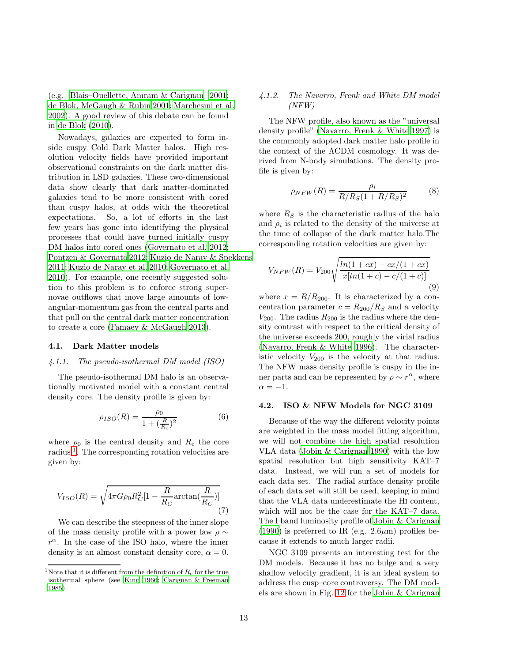(e.g. [Blais–Ouellette, Amram & Carignan 2001;](#page-23-4) [de Blok, McGaugh & Rubin 2001;](#page-23-21) [Marchesini et al.](#page-23-22) [2002\)](#page-23-22). A good review of this debate can be found in [de Blok \(2010\)](#page-23-23).

Nowadays, galaxies are expected to form inside cuspy Cold Dark Matter halos. High resolution velocity fields have provided important observational constraints on the dark matter distribution in LSD galaxies. These two-dimensional data show clearly that dark matter-dominated galaxies tend to be more consistent with cored than cuspy halos, at odds with the theoretical expectations. So, a lot of efforts in the last few years has gone into identifying the physical processes that could have turned initially cuspy DM halos into cored ones [\(Governato et al. 2012;](#page-23-24) [Pontzen & Governato 2012;](#page-24-18) [Kuzio de Naray & Spekkens](#page-23-25)

[2011;](#page-23-25) [Kuzio de Naray et al. 2010;](#page-23-26) [Governato et al.](#page-23-27) [2010\)](#page-23-27). For example, one recently suggested solution to this problem is to enforce strong supernovae outflows that move large amounts of lowangular-momentum gas from the central parts and that pull on the central dark matter concentration to create a core [\(Famaey & McGaugh 2013\)](#page-23-28).

#### <span id="page-12-0"></span>4.1. Dark Matter models

#### 4.1.1. The pseudo-isothermal DM model (ISO)

The pseudo-isothermal DM halo is an observationally motivated model with a constant central density core. The density profile is given by:

$$
\rho_{ISO}(R) = \frac{\rho_0}{1 + (\frac{R}{R_c})^2} \tag{6}
$$

where  $\rho_0$  is the central density and  $R_c$  the core radius<sup>[1](#page-24-19)</sup>. The corresponding rotation velocities are given by:

$$
V_{ISO}(R) = \sqrt{4\pi G \rho_0 R_C^2 \left[1 - \frac{R}{R_C} \arctan\left(\frac{R}{R_C}\right)\right]}
$$
\n<sup>(7)</sup>

We can describe the steepness of the inner slope of the mass density profile with a power law  $\rho \sim$  $r^{\alpha}$ . In the case of the ISO halo, where the inner density is an almost constant density core,  $\alpha = 0$ .

## 4.1.2. The Navarro, Frenk and White DM model (NFW)

The NFW profile, also known as the "universal density profile" [\(Navarro, Frenk & White 1997](#page-24-3)) is the commonly adopted dark matter halo profile in the context of the ΛCDM cosmology. It was derived from N-body simulations. The density profile is given by:

$$
\rho_{NFW}(R) = \frac{\rho_i}{R/R_S(1 + R/R_S)^2}
$$
(8)

where  $R<sub>S</sub>$  is the characteristic radius of the halo and  $\rho_i$  is related to the density of the universe at the time of collapse of the dark matter halo.The corresponding rotation velocities are given by:

$$
V_{NFW}(R) = V_{200} \sqrt{\frac{\ln(1+cx) - cx/(1+cx)}{x[\ln(1+c) - c/(1+c)]}}
$$
\n(9)

where  $x = R/R_{200}$ . It is characterized by a concentration parameter  $c = R_{200}/R_s$  and a velocity  $V_{200}$ . The radius  $R_{200}$  is the radius where the density contrast with respect to the critical density of the universe exceeds 200, roughly the virial radius [\(Navarro, Frenk & White 1996\)](#page-24-20). The characteristic velocity  $V_{200}$  is the velocity at that radius. The NFW mass density profile is cuspy in the inner parts and can be represented by  $\rho \sim r^{\alpha}$ , where  $\alpha = -1$ .

#### 4.2. ISO & NFW Models for NGC 3109

Because of the way the different velocity points are weighted in the mass model fitting algorithm, we will not combine the high spatial resolution VLA data [\(Jobin & Carignan 1990\)](#page-23-3) with the low spatial resolution but high sensitivity KAT–7 data. Instead, we will run a set of models for each data set. The radial surface density profile of each data set will still be used, keeping in mind that the VLA data underestimate the Hi content, which will not be the case for the KAT–7 data. The I band luminosity profile of [Jobin & Carignan](#page-23-3) [\(1990\)](#page-23-3) is preferred to IR (e.g.  $2.6\mu$ m) profiles because it extends to much larger radii.

NGC 3109 presents an interesting test for the DM models. Because it has no bulge and a very shallow velocity gradient, it is an ideal system to address the cusp–core controversy. The DM models are shown in Fig. [12](#page-13-0) for the [Jobin & Carignan](#page-23-3)

<sup>&</sup>lt;sup>1</sup>Note that it is different from the definition of  $R_c$  for the true isothermal sphere (see [King 1966](#page-23-29); [Carignan & Freeman](#page-23-30) [1985](#page-23-30)).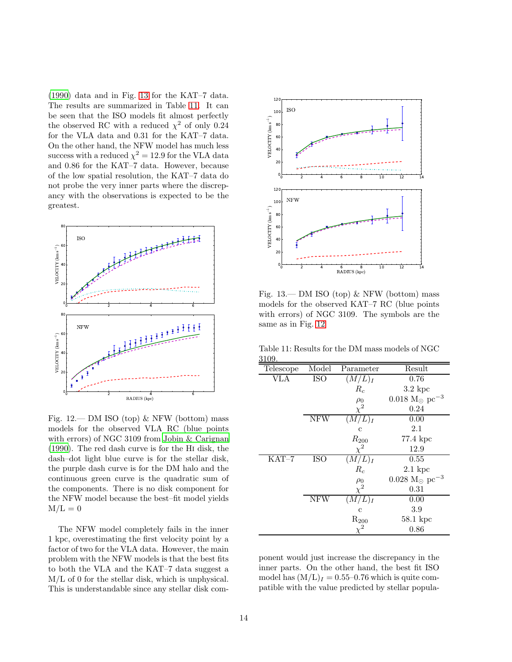[\(1990\)](#page-23-3) data and in Fig. [13](#page-13-1) for the KAT–7 data. The results are summarized in Table [11.](#page-13-2) It can be seen that the ISO models fit almost perfectly the observed RC with a reduced  $\chi^2$  of only 0.24 for the VLA data and 0.31 for the KAT–7 data. On the other hand, the NFW model has much less success with a reduced  $\chi^2 = 12.9$  for the VLA data and 0.86 for the KAT–7 data. However, because of the low spatial resolution, the KAT–7 data do not probe the very inner parts where the discrepancy with the observations is expected to be the greatest.

![](_page_13_Figure_1.jpeg)

<span id="page-13-0"></span>Fig.  $12$ — DM ISO (top) & NFW (bottom) mass models for the observed VLA RC (blue points with errors) of NGC 3109 from [Jobin & Carignan](#page-23-3) [\(1990\)](#page-23-3). The red dash curve is for the Hi disk, the dash–dot light blue curve is for the stellar disk, the purple dash curve is for the DM halo and the continuous green curve is the quadratic sum of the components. There is no disk component for the NFW model because the best–fit model yields  $M/L = 0$ 

The NFW model completely fails in the inner 1 kpc, overestimating the first velocity point by a factor of two for the VLA data. However, the main problem with the NFW models is that the best fits to both the VLA and the KAT–7 data suggest a M/L of 0 for the stellar disk, which is unphysical. This is understandable since any stellar disk com-

![](_page_13_Figure_4.jpeg)

<span id="page-13-1"></span>Fig. 13.— DM ISO (top) & NFW (bottom) mass models for the observed KAT–7 RC (blue points with errors) of NGC 3109. The symbols are the same as in Fig. [12](#page-13-0)

Table 11: Results for the DM mass models of NGC 3109.

<span id="page-13-2"></span>

| Telescope                        | Model      | Parameter          | Result                                    |
|----------------------------------|------------|--------------------|-------------------------------------------|
| <b>VLA</b>                       | <b>ISO</b> | $(M/L)_I$          | 0.76                                      |
|                                  |            | $R_c$              | $3.2~\rm kpc$                             |
|                                  |            | $\rho_0$           | $0.018 \text{ M}_{\odot} \text{ pc}^{-3}$ |
|                                  |            | $\chi^2$           | 0.24                                      |
|                                  | <b>NFW</b> | $(M/L)_I$          | 0.00                                      |
|                                  |            | $\mathbf c$        | 2.1                                       |
|                                  |            | $R_{200}$          | 77.4 kpc                                  |
|                                  |            | $\chi^2$           | 12.9                                      |
| $\overline{\text{K}}\text{AT}-7$ | <b>ISO</b> | $(M/L)_I$          | 0.55                                      |
|                                  |            | $R_c$              | $2.1 \text{ kpc}$                         |
|                                  |            | $\rho_0$           | $0.028 \text{ M}_{\odot} \text{ pc}^{-3}$ |
|                                  |            | $\chi^2$           | 0.31                                      |
|                                  | <b>NFW</b> | (M/L) <sub>I</sub> | 0.00                                      |
|                                  |            | $\mathbf c$        | 3.9                                       |
|                                  |            | $R_{200}$          | 58.1 kpc                                  |
|                                  |            |                    | 0.86                                      |

ponent would just increase the discrepancy in the inner parts. On the other hand, the best fit ISO model has  $(M/L)<sub>I</sub> = 0.55-0.76$  which is quite compatible with the value predicted by stellar popula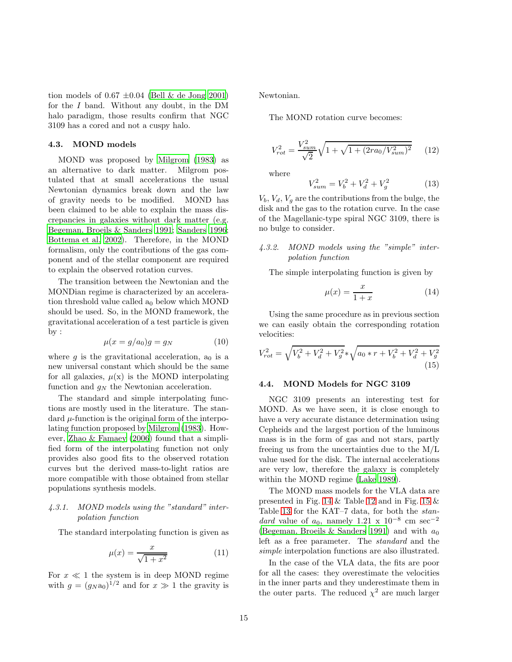tion models of  $0.67 \pm 0.04$  [\(Bell & de Jong 2001\)](#page-23-31) for the I band. Without any doubt, in the DM halo paradigm, those results confirm that NGC 3109 has a cored and not a cuspy halo.

## 4.3. MOND models

MOND was proposed by [Milgrom \(1983](#page-24-4)) as an alternative to dark matter. Milgrom postulated that at small accelerations the usual Newtonian dynamics break down and the law of gravity needs to be modified. MOND has been claimed to be able to explain the mass discrepancies in galaxies without dark matter (e.g. [Begeman, Broeils & Sanders 1991;](#page-23-6) [Sanders 1996;](#page-24-21) [Bottema et al. 2002](#page-23-32)). Therefore, in the MOND formalism, only the contributions of the gas component and of the stellar component are required to explain the observed rotation curves.

The transition between the Newtonian and the MONDian regime is characterized by an acceleration threshold value called  $a_0$  below which MOND should be used. So, in the MOND framework, the gravitational acceleration of a test particle is given by :

$$
\mu(x = g/a_0)g = g_N \tag{10}
$$

where g is the gravitational acceleration,  $a_0$  is a new universal constant which should be the same for all galaxies,  $\mu(x)$  is the MOND interpolating function and  $g_N$  the Newtonian acceleration.

The standard and simple interpolating functions are mostly used in the literature. The standard  $\mu$ -function is the original form of the interpolating function proposed by [Milgrom \(1983](#page-24-4)). However, [Zhao & Famaey \(2006\)](#page-24-22) found that a simplified form of the interpolating function not only provides also good fits to the observed rotation curves but the derived mass-to-light ratios are more compatible with those obtained from stellar populations synthesis models.

## 4.3.1. MOND models using the "standard" interpolation function

The standard interpolating function is given as

$$
\mu(x) = \frac{x}{\sqrt{1+x^2}}\tag{11}
$$

For  $x \ll 1$  the system is in deep MOND regime with  $g = (g_N a_0)^{1/2}$  and for  $x \gg 1$  the gravity is

Newtonian.

The MOND rotation curve becomes:

$$
V_{rot}^2 = \frac{V_{sum}^2}{\sqrt{2}} \sqrt{1 + \sqrt{1 + (2ra_0/V_{sum}^2)^2}} \qquad (12)
$$

where

$$
V_{sum}^{2} = V_{b}^{2} + V_{d}^{2} + V_{g}^{2}
$$
 (13)

 $V_b, V_d, V_g$  are the contributions from the bulge, the disk and the gas to the rotation curve. In the case of the Magellanic-type spiral NGC 3109, there is no bulge to consider.

## 4.3.2. MOND models using the "simple" interpolation function

The simple interpolating function is given by

$$
\mu(x) = \frac{x}{1+x} \tag{14}
$$

Using the same procedure as in previous section we can easily obtain the corresponding rotation velocities:

$$
V_{rot}^2 = \sqrt{V_b^2 + V_d^2 + V_g^2} \sqrt{a_0 * r + V_b^2 + V_d^2 + V_g^2}
$$
\n(15)

## 4.4. MOND Models for NGC 3109

NGC 3109 presents an interesting test for MOND. As we have seen, it is close enough to have a very accurate distance determination using Cepheids and the largest portion of the luminous mass is in the form of gas and not stars, partly freeing us from the uncertainties due to the M/L value used for the disk. The internal accelerations are very low, therefore the galaxy is completely within the MOND regime [\(Lake 1989\)](#page-23-33).

The MOND mass models for the VLA data are presented in Fig. [14](#page-15-0) & Table [12](#page-15-1) and in Fig. [15](#page-15-2) & Table [13](#page-15-3) for the KAT–7 data, for both the standard value of  $a_0$ , namely 1.21 x 10<sup>-8</sup> cm sec<sup>-2</sup> [\(Begeman, Broeils & Sanders 1991](#page-23-6)) and with  $a_0$ left as a free parameter. The standard and the simple interpolation functions are also illustrated.

In the case of the VLA data, the fits are poor for all the cases: they overestimate the velocities in the inner parts and they underestimate them in the outer parts. The reduced  $\chi^2$  are much larger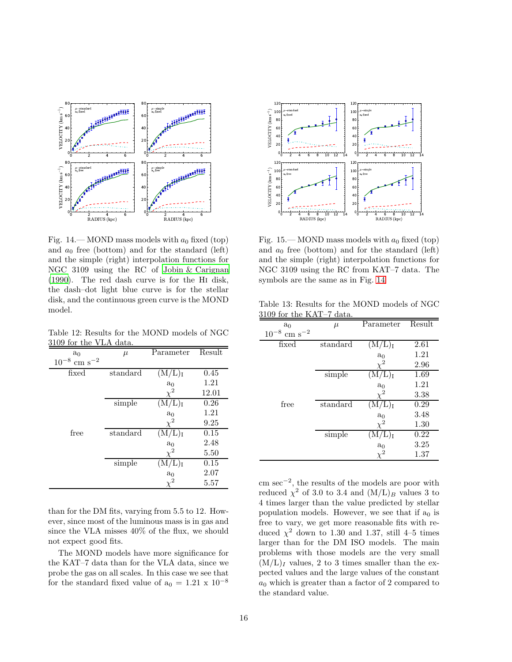![](_page_15_Figure_0.jpeg)

<span id="page-15-0"></span>Fig. 14.—MOND mass models with  $a_0$  fixed (top) and  $a_0$  free (bottom) and for the standard (left) and the simple (right) interpolation functions for NGC 3109 using the RC of [Jobin & Carignan](#page-23-3) [\(1990\)](#page-23-3). The red dash curve is for the Hi disk, the dash–dot light blue curve is for the stellar disk, and the continuous green curve is the MOND model.

Table 12: Results for the MOND models of NGC 3109 for the VLA data.

<span id="page-15-1"></span>

| a <sub>0</sub>               | $\mu$                      | Parameter                   | Result |
|------------------------------|----------------------------|-----------------------------|--------|
| $10^{-8}$ cm s <sup>-2</sup> |                            |                             |        |
| fixed                        | standard                   | (M/L) <sub>I</sub>          | 0.45   |
|                              |                            | a <sub>0</sub>              | 1.21   |
|                              |                            | $\chi^2$                    | 12.01  |
|                              | $\overline{\text{simple}}$ | $(\mathrm{M/L})_\mathrm{I}$ | 0.26   |
|                              |                            | $a_0$                       | 1.21   |
|                              |                            | $\chi^2$                    | 9.25   |
| free                         | standard                   | $(\mathrm{M/L})_\mathrm{I}$ | 0.15   |
|                              |                            | $a_0$                       | 2.48   |
|                              |                            | $\chi^2$                    | 5.50   |
|                              | $\overline{\text{simple}}$ |                             | 0.15   |
|                              |                            | a <sub>0</sub>              | 2.07   |
|                              |                            |                             | 5.57   |

than for the DM fits, varying from 5.5 to 12. However, since most of the luminous mass is in gas and since the VLA misses 40% of the flux, we should not expect good fits.

The MOND models have more significance for the KAT–7 data than for the VLA data, since we probe the gas on all scales. In this case we see that for the standard fixed value of  $a_0 = 1.21 \times 10^{-8}$ 

![](_page_15_Figure_6.jpeg)

<span id="page-15-2"></span>Fig. 15.—MOND mass models with  $a_0$  fixed (top) and  $a_0$  free (bottom) and for the standard (left) and the simple (right) interpolation functions for NGC 3109 using the RC from KAT–7 data. The symbols are the same as in Fig. [14](#page-15-0)

Table 13: Results for the MOND models of NGC 3109 for the KAT–7 data.

<span id="page-15-3"></span>

| $\mu$                      | Parameter                   | Result                                     |
|----------------------------|-----------------------------|--------------------------------------------|
|                            |                             |                                            |
| standard                   | $(\mathrm{M/L})_\mathrm{I}$ | 2.61                                       |
|                            |                             | 1.21                                       |
|                            |                             | 2.96                                       |
| $\overline{\text{simple}}$ | L)ī                         | 1.69                                       |
|                            | a <sub>0</sub>              | 1.21                                       |
|                            | $\chi^2$                    | 3.38                                       |
| standard                   |                             | 0.29                                       |
|                            |                             | 3.48                                       |
|                            |                             | 1.30                                       |
|                            |                             | 0.22                                       |
|                            |                             | 3.25                                       |
|                            |                             | 1.37                                       |
|                            | $\overline{\text{simple}}$  | $\frac{a_0}{\chi^2}$<br>$a_0$<br>$\rm a_0$ |

cm sec−<sup>2</sup> , the results of the models are poor with reduced  $\chi^2$  of 3.0 to 3.4 and  $(M/L)_B$  values 3 to 4 times larger than the value predicted by stellar population models. However, we see that if  $a_0$  is free to vary, we get more reasonable fits with reduced  $\chi^2$  down to 1.30 and 1.37, still 4–5 times larger than for the DM ISO models. The main problems with those models are the very small  $(M/L)_I$  values, 2 to 3 times smaller than the expected values and the large values of the constant  $a_0$  which is greater than a factor of 2 compared to the standard value.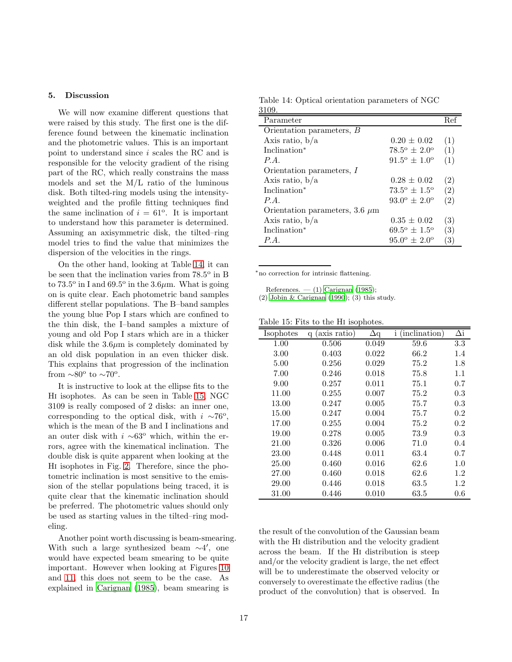## <span id="page-16-0"></span>5. Discussion

We will now examine different questions that were raised by this study. The first one is the difference found between the kinematic inclination and the photometric values. This is an important point to understand since i scales the RC and is responsible for the velocity gradient of the rising part of the RC, which really constrains the mass models and set the M/L ratio of the luminous disk. Both tilted-ring models using the intensityweighted and the profile fitting techniques find the same inclination of  $i = 61^{\circ}$ . It is important to understand how this parameter is determined. Assuming an axisymmetric disk, the tilted–ring model tries to find the value that minimizes the dispersion of the velocities in the rings.

On the other hand, looking at Table [14,](#page-16-1) it can be seen that the inclination varies from  $78.5^{\circ}$  in B to  $73.5^{\circ}$  in I and  $69.5^{\circ}$  in the  $3.6 \mu$ m. What is going on is quite clear. Each photometric band samples different stellar populations. The B–band samples the young blue Pop I stars which are confined to the thin disk, the I–band samples a mixture of young and old Pop I stars which are in a thicker disk while the  $3.6\mu m$  is completely dominated by an old disk population in an even thicker disk. This explains that progression of the inclination from  $\sim80^{\circ}$  to  $\sim70^{\circ}$ .

It is instructive to look at the ellipse fits to the Hi isophotes. As can be seen in Table [15,](#page-16-2) NGC 3109 is really composed of 2 disks: an inner one, corresponding to the optical disk, with  $i \sim 76^\circ$ , which is the mean of the B and I inclinations and an outer disk with  $i \sim 63^\circ$  which, within the errors, agree with the kinematical inclination. The double disk is quite apparent when looking at the Hi isophotes in Fig. [2.](#page-5-0) Therefore, since the photometric inclination is most sensitive to the emission of the stellar populations being traced, it is quite clear that the kinematic inclination should be preferred. The photometric values should only be used as starting values in the tilted–ring modeling.

Another point worth discussing is beam-smearing. With such a large synthesized beam  $\sim$ 4', one would have expected beam smearing to be quite important. However when looking at Figures [10](#page-10-1) and [11,](#page-10-2) this does not seem to be the case. As explained in [Carignan \(1985](#page-23-2)), beam smearing is

<span id="page-16-1"></span>Table 14: Optical orientation parameters of NGC 3109.

| Parameter                           |                                | Ref               |
|-------------------------------------|--------------------------------|-------------------|
| Orientation parameters, B           |                                |                   |
| Axis ratio, $b/a$                   | $0.20 \pm 0.02$                | (1)               |
| Inclination*                        | $78.5^{\circ} \pm 2.0^{\circ}$ | (1)               |
| P.A.                                | $91.5^{\circ} \pm 1.0^{\circ}$ | (1)               |
| Orientation parameters, I           |                                |                   |
| Axis ratio, $b/a$                   | $0.28 \pm 0.02$                | $\left( 2\right)$ |
| Inclination <sup>*</sup>            | $73.5^{\circ} \pm 1.5^{\circ}$ | (2)               |
| P.A.                                | $93.0^{\circ} \pm 2.0^{\circ}$ | $\left( 2\right)$ |
| Orientation parameters, 3.6 $\mu$ m |                                |                   |
| Axis ratio, $b/a$                   | $0.35 \pm 0.02$                | $\left( 3\right)$ |
| Inclination*                        | $69.5^{\circ} \pm 1.5^{\circ}$ | (3)               |
| P.A.                                | $95.0^{\circ} \pm 2.0^{\circ}$ | $\left(3\right)$  |

<sup>∗</sup>no correction for intrinsic flattening.

References. — (1) [Carignan \(1985](#page-23-2));

(2) [Jobin & Carignan \(1990\)](#page-23-3); (3) this study.

Table 15: Fits to the Hi isophotes.

<span id="page-16-2"></span>

| Isophotes<br>q (axis ratio)<br>$\Delta q$<br>ı | (inclination)<br>Δi |
|------------------------------------------------|---------------------|
| 0.506<br>0.049<br>1.00                         | 59.6<br>3.3         |
| 3.00<br>0.403<br>0.022                         | 66.2<br>$1.4\,$     |
| 5.00<br>0.029<br>0.256                         | 75.2<br>1.8         |
| 7.00<br>0.246<br>0.018                         | 75.8<br>$1.1\,$     |
| 0.011<br>9.00<br>0.257                         | 75.1<br>0.7         |
| 0.007<br>11.00<br>0.255                        | 75.2<br>0.3         |
| 13.00<br>0.247<br>0.005                        | 75.7<br>0.3         |
| 0.004<br>15.00<br>0.247                        | 75.7<br>0.2         |
| 17.00<br>0.255<br>0.004                        | 75.2<br>0.2         |
| 19.00<br>0.278<br>0.005                        | 73.9<br>0.3         |
| 21.00<br>0.326<br>0.006                        | 71.0<br>0.4         |
| 0.011<br>23.00<br>0.448                        | 63.4<br>0.7         |
| 25.00<br>0.460<br>0.016                        | 62.6<br>1.0         |
| 27.00<br>0.460<br>0.018                        | 62.6<br>1.2         |
| 29.00<br>0.446<br>0.018                        | 63.5<br>$1.2\,$     |
| 0.446<br>31.00<br>0.010                        | 63.5<br>0.6         |

the result of the convolution of the Gaussian beam with the Hi distribution and the velocity gradient across the beam. If the Hi distribution is steep and/or the velocity gradient is large, the net effect will be to underestimate the observed velocity or conversely to overestimate the effective radius (the product of the convolution) that is observed. In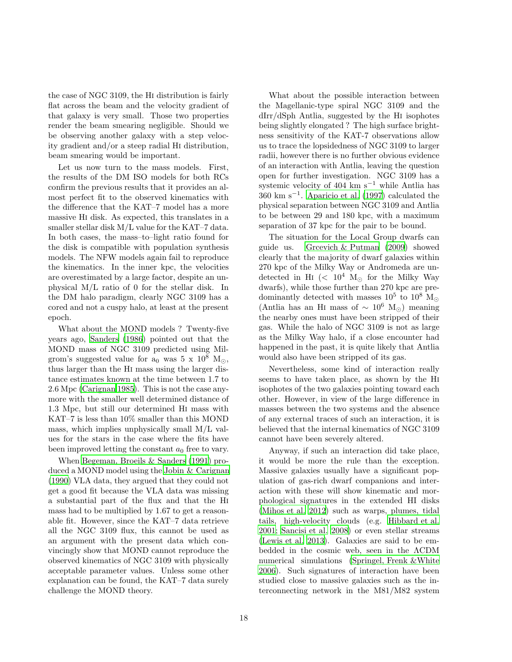the case of NGC 3109, the Hi distribution is fairly flat across the beam and the velocity gradient of that galaxy is very small. Those two properties render the beam smearing negligible. Should we be observing another galaxy with a step velocity gradient and/or a steep radial Hi distribution, beam smearing would be important.

Let us now turn to the mass models. First, the results of the DM ISO models for both RCs confirm the previous results that it provides an almost perfect fit to the observed kinematics with the difference that the KAT–7 model has a more massive Hi disk. As expected, this translates in a smaller stellar disk M/L value for the KAT–7 data. In both cases, the mass–to–light ratio found for the disk is compatible with population synthesis models. The NFW models again fail to reproduce the kinematics. In the inner kpc, the velocities are overestimated by a large factor, despite an unphysical M/L ratio of 0 for the stellar disk. In the DM halo paradigm, clearly NGC 3109 has a cored and not a cuspy halo, at least at the present epoch.

What about the MOND models ? Twenty-five years ago, [Sanders \(1986\)](#page-24-9) pointed out that the MOND mass of NGC 3109 predicted using Milgrom's suggested value for  $a_0$  was  $5 \times 10^8$  M<sub> $\odot$ </sub>, thus larger than the Hi mass using the larger distance estimates known at the time between 1.7 to 2.6 Mpc [\(Carignan 1985\)](#page-23-2). This is not the case anymore with the smaller well determined distance of 1.3 Mpc, but still our determined Hi mass with KAT–7 is less than 10% smaller than this MOND mass, which implies unphysically small M/L values for the stars in the case where the fits have been improved letting the constant  $a_0$  free to vary.

When [Begeman, Broeils & Sanders \(1991](#page-23-6)) produced a MOND model using the [Jobin & Carignan](#page-23-3) [\(1990\)](#page-23-3) VLA data, they argued that they could not get a good fit because the VLA data was missing a substantial part of the flux and that the Hi mass had to be multiplied by 1.67 to get a reasonable fit. However, since the KAT–7 data retrieve all the NGC 3109 flux, this cannot be used as an argument with the present data which convincingly show that MOND cannot reproduce the observed kinematics of NGC 3109 with physically acceptable parameter values. Unless some other explanation can be found, the KAT–7 data surely challenge the MOND theory.

What about the possible interaction between the Magellanic-type spiral NGC 3109 and the dIrr/dSph Antlia, suggested by the Hi isophotes being slightly elongated ? The high surface brightness sensitivity of the KAT-7 observations allow us to trace the lopsidedness of NGC 3109 to larger radii, however there is no further obvious evidence of an interaction with Antlia, leaving the question open for further investigation. NGC 3109 has a systemic velocity of 404 km s<sup> $-1$ </sup> while Antlia has 360 km s−<sup>1</sup> . [Aparicio et al. \(1997](#page-23-34)) calculated the physical separation between NGC 3109 and Antlia to be between 29 and 180 kpc, with a maximum separation of 37 kpc for the pair to be bound.

The situation for the Local Group dwarfs can guide us. [Grcevich & Putman \(2009](#page-23-35)) showed clearly that the majority of dwarf galaxies within 270 kpc of the Milky Way or Andromeda are undetected in H<sub>I</sub> (<  $10^4$  M<sub> $\odot$ </sub> for the Milky Way dwarfs), while those further than 270 kpc are predominantly detected with masses  $10^5$  to  $10^8$  M<sub>☉</sub> (Antlia has an HI mass of  $\sim 10^6$  M<sub>⊙</sub>) meaning the nearby ones must have been stripped of their gas. While the halo of NGC 3109 is not as large as the Milky Way halo, if a close encounter had happened in the past, it is quite likely that Antlia would also have been stripped of its gas.

Nevertheless, some kind of interaction really seems to have taken place, as shown by the Hi isophotes of the two galaxies pointing toward each other. However, in view of the large difference in masses between the two systems and the absence of any external traces of such an interaction, it is believed that the internal kinematics of NGC 3109 cannot have been severely altered.

Anyway, if such an interaction did take place, it would be more the rule than the exception. Massive galaxies usually have a significant population of gas-rich dwarf companions and interaction with these will show kinematic and morphological signatures in the extended HI disks [\(Mihos et al. 2012\)](#page-24-23) such as warps, plumes, tidal tails, high-velocity clouds (e.g. [Hibbard et al.](#page-23-36) [2001;](#page-23-36) [Sancisi et al. 2008\)](#page-24-24) or even stellar streams [\(Lewis et al. 2013\)](#page-23-37). Galaxies are said to be embedded in the cosmic web, seen in the ΛCDM numerical simulations [\(Springel, Frenk &White](#page-24-25) [2006\)](#page-24-25). Such signatures of interaction have been studied close to massive galaxies such as the interconnecting network in the M81/M82 system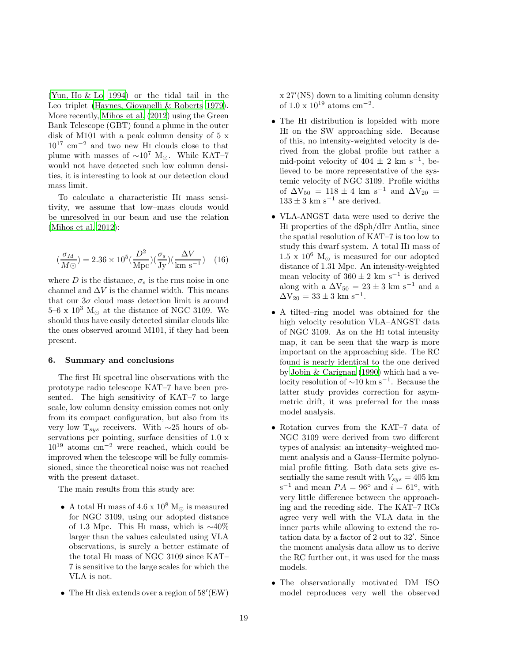[\(Yun, Ho & Lo 1994\)](#page-24-26) or the tidal tail in the Leo triplet [\(Haynes, Giovanelli & Roberts 1979\)](#page-23-38). More recently, [Mihos et al. \(2012\)](#page-24-23) using the Green Bank Telescope (GBT) found a plume in the outer disk of M101 with a peak column density of 5 x 10<sup>17</sup> cm−<sup>2</sup> and two new Hi clouds close to that plume with masses of  $\sim 10^7$  M<sub>☉</sub>. While KAT–7 would not have detected such low column densities, it is interesting to look at our detection cloud mass limit.

To calculate a characteristic Hi mass sensitivity, we assume that low–mass clouds would be unresolved in our beam and use the relation [\(Mihos et al. 2012\)](#page-24-23):

$$
(\frac{\sigma_M}{M\odot}) = 2.36 \times 10^5 (\frac{D^2}{\text{Mpc}})(\frac{\sigma_s}{\text{Jy}})(\frac{\Delta V}{\text{km s}^{-1}}) \quad (16)
$$

where D is the distance,  $\sigma_s$  is the rms noise in one channel and  $\Delta V$  is the channel width. This means that our  $3\sigma$  cloud mass detection limit is around 5–6 x  $10^3$  M<sub> $\odot$ </sub> at the distance of NGC 3109. We should thus have easily detected similar clouds like the ones observed around M101, if they had been present.

## <span id="page-18-0"></span>6. Summary and conclusions

The first Hi spectral line observations with the prototype radio telescope KAT–7 have been presented. The high sensitivity of KAT–7 to large scale, low column density emission comes not only from its compact configuration, but also from its very low T<sub>sys</sub> receivers. With ∼25 hours of observations per pointing, surface densities of 1.0 x  $10^{19}$  atoms cm<sup>-2</sup> were reached, which could be improved when the telescope will be fully commissioned, since the theoretical noise was not reached with the present dataset.

The main results from this study are:

- A total HI mass of  $4.6 \times 10^8$  M<sub> $\odot$ </sub> is measured for NGC 3109, using our adopted distance of 1.3 Mpc. This H<sup>i</sup> mass, which is <sup>∼</sup>40% larger than the values calculated using VLA observations, is surely a better estimate of the total Hi mass of NGC 3109 since KAT– 7 is sensitive to the large scales for which the VLA is not.
- The H<sup>i</sup> disk extends over a region of 58′ (EW)

x 27′ (NS) down to a limiting column density of 1.0 x  $10^{19}$  atoms cm<sup>-2</sup>.

- The HI distribution is lopsided with more Hi on the SW approaching side. Because of this, no intensity-weighted velocity is derived from the global profile but rather a mid-point velocity of  $404 \pm 2$  km s<sup>-1</sup>, believed to be more representative of the systemic velocity of NGC 3109. Profile widths of  $\Delta V_{50} = 118 \pm 4$  km s<sup>-1</sup> and  $\Delta V_{20} =$  $133 \pm 3$  km s<sup>-1</sup> are derived.
- VLA-ANGST data were used to derive the Hi properties of the dSph/dIrr Antlia, since the spatial resolution of KAT–7 is too low to study this dwarf system. A total Hi mass of 1.5 x 10<sup>6</sup> M<sub>☉</sub> is measured for our adopted distance of 1.31 Mpc. An intensity-weighted mean velocity of  $360 \pm 2$  km s<sup>-1</sup> is derived along with a  $\Delta V_{50} = 23 \pm 3$  km s<sup>-1</sup> and a  $\Delta V_{20} = 33 \pm 3$  km s<sup>-1</sup>.
- A tilted–ring model was obtained for the high velocity resolution VLA–ANGST data of NGC 3109. As on the Hi total intensity map, it can be seen that the warp is more important on the approaching side. The RC found is nearly identical to the one derived by [Jobin & Carignan \(1990\)](#page-23-3) which had a velocity resolution of <sup>∼</sup>10 km s<sup>−</sup><sup>1</sup> . Because the latter study provides correction for asymmetric drift, it was preferred for the mass model analysis.
- Rotation curves from the KAT–7 data of NGC 3109 were derived from two different types of analysis: an intensity–weighted moment analysis and a Gauss–Hermite polynomial profile fitting. Both data sets give essentially the same result with  $V_{sys} = 405$  km  $s^{-1}$  and mean  $PA = 96^{\circ}$  and  $i = 61^{\circ}$ , with very little difference between the approaching and the receding side. The KAT–7 RCs agree very well with the VLA data in the inner parts while allowing to extend the rotation data by a factor of 2 out to 32′ . Since the moment analysis data allow us to derive the RC further out, it was used for the mass models.
- The observationally motivated DM ISO model reproduces very well the observed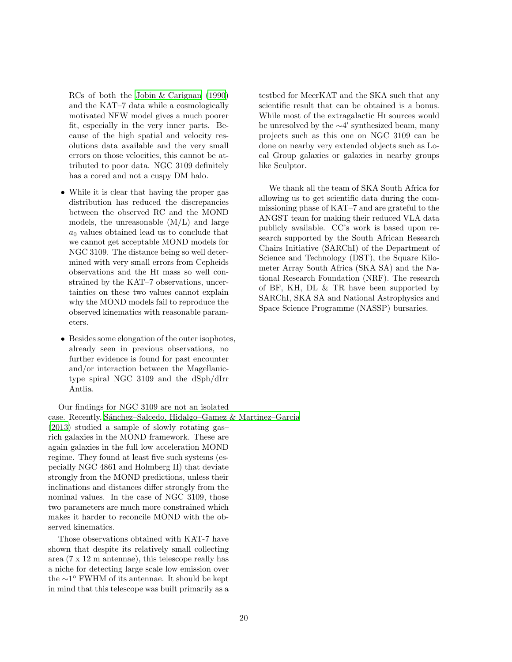RCs of both the [Jobin & Carignan \(1990\)](#page-23-3) and the KAT–7 data while a cosmologically motivated NFW model gives a much poorer fit, especially in the very inner parts. Because of the high spatial and velocity resolutions data available and the very small errors on those velocities, this cannot be attributed to poor data. NGC 3109 definitely has a cored and not a cuspy DM halo.

- While it is clear that having the proper gas distribution has reduced the discrepancies between the observed RC and the MOND models, the unreasonable (M/L) and large  $a_0$  values obtained lead us to conclude that we cannot get acceptable MOND models for NGC 3109. The distance being so well determined with very small errors from Cepheids observations and the Hi mass so well constrained by the KAT–7 observations, uncertainties on these two values cannot explain why the MOND models fail to reproduce the observed kinematics with reasonable parameters.
- Besides some elongation of the outer isophotes, already seen in previous observations, no further evidence is found for past encounter and/or interaction between the Magellanictype spiral NGC 3109 and the dSph/dIrr Antlia.

Our findings for NGC 3109 are not an isolated case. Recently, Sánchez–Salcedo, Hidalgo–Gamez & Martinez–Garcia [\(2013\)](#page-24-27) studied a sample of slowly rotating gas– rich galaxies in the MOND framework. These are again galaxies in the full low acceleration MOND regime. They found at least five such systems (especially NGC 4861 and Holmberg II) that deviate strongly from the MOND predictions, unless their inclinations and distances differ strongly from the nominal values. In the case of NGC 3109, those two parameters are much more constrained which makes it harder to reconcile MOND with the observed kinematics.

Those observations obtained with KAT-7 have shown that despite its relatively small collecting area (7 x 12 m antennae), this telescope really has a niche for detecting large scale low emission over the ∼1 <sup>o</sup> FWHM of its antennae. It should be kept in mind that this telescope was built primarily as a

testbed for MeerKAT and the SKA such that any scientific result that can be obtained is a bonus. While most of the extragalactic Hi sources would be unresolved by the ∼4 ′ synthesized beam, many projects such as this one on NGC 3109 can be done on nearby very extended objects such as Local Group galaxies or galaxies in nearby groups like Sculptor.

We thank all the team of SKA South Africa for allowing us to get scientific data during the commissioning phase of KAT–7 and are grateful to the ANGST team for making their reduced VLA data publicly available. CC's work is based upon research supported by the South African Research Chairs Initiative (SARChI) of the Department of Science and Technology (DST), the Square Kilometer Array South Africa (SKA SA) and the National Research Foundation (NRF). The research of BF, KH, DL & TR have been supported by SARChI, SKA SA and National Astrophysics and Space Science Programme (NASSP) bursaries.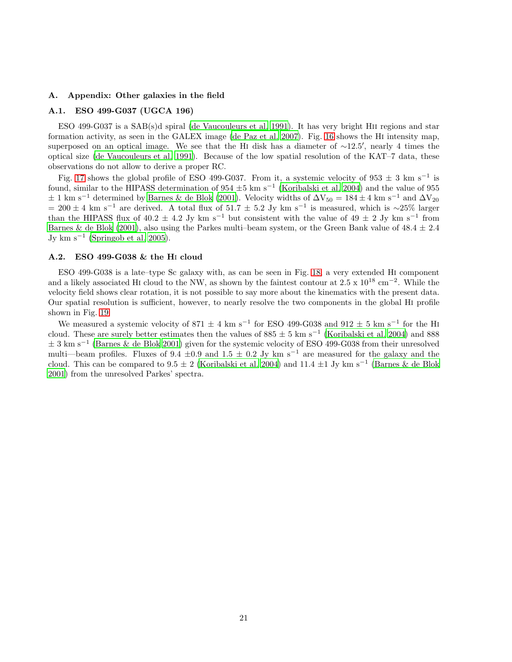## A. Appendix: Other galaxies in the field

## A.1. ESO 499-G037 (UGCA 196)

ESO 499-G037 is a SAB(s)d spiral [\(de Vaucouleurs et al. 1991\)](#page-23-0). It has very bright Hii regions and star formation activity, as seen in the GALEX image [\(de Paz et al. 2007\)](#page-23-39). Fig. [16](#page-21-0) shows the Hi intensity map, superposed on an optical image. We see that the H<sup>i</sup> disk has a diameter of <sup>∼</sup>12.5′ , nearly 4 times the optical size [\(de Vaucouleurs et al. 1991](#page-23-0)). Because of the low spatial resolution of the KAT–7 data, these observations do not allow to derive a proper RC.

Fig. [17](#page-21-1) shows the global profile of ESO 499-G037. From it, a systemic velocity of  $953 \pm 3$  km s<sup>-1</sup> is found, similar to the HIPASS determination of  $954 \pm 5$  km s<sup>-1</sup> [\(Koribalski et al. 2004](#page-23-40)) and the value of  $955$  $\pm$  1 km s<sup>-1</sup> determined by [Barnes & de Blok \(2001\)](#page-23-7). Velocity widths of  $\Delta V_{50} = 184 \pm 4$  km s<sup>-1</sup> and  $\Delta V_{20}$  $= 200 \pm 4$  km s<sup>-1</sup> are derived. A total flux of 51.7  $\pm$  5.2 Jy km s<sup>-1</sup> is measured, which is ∼25% larger than the HIPASS flux of  $40.2 \pm 4.2$  Jy km s<sup>-1</sup> but consistent with the value of  $49 \pm 2$  Jy km s<sup>-1</sup> from [Barnes & de Blok \(2001](#page-23-7)), also using the Parkes multi–beam system, or the Green Bank value of  $48.4 \pm 2.4$ Jy km  $s^{-1}$  [\(Springob et al. 2005\)](#page-24-28).

#### A.2. ESO 499-G038 & the Hi cloud

ESO 499-G038 is a late–type Sc galaxy with, as can be seen in Fig. [18,](#page-22-0) a very extended Hi component and a likely associated HI cloud to the NW, as shown by the faintest contour at  $2.5 \times 10^{18}$  cm<sup>-2</sup>. While the velocity field shows clear rotation, it is not possible to say more about the kinematics with the present data. Our spatial resolution is sufficient, however, to nearly resolve the two components in the global Hi profile shown in Fig. [19.](#page-22-1)

We measured a systemic velocity of 871  $\pm$  4 km s<sup>-1</sup> for ESO 499-G038 and 912  $\pm$  5 km s<sup>-1</sup> for the HI cloud. These are surely better estimates then the values of  $885 \pm 5$  km s<sup>-1</sup> [\(Koribalski et al. 2004\)](#page-23-40) and 888 <sup>±</sup> 3 km s<sup>−</sup><sup>1</sup> [\(Barnes & de Blok 2001\)](#page-23-7) given for the systemic velocity of ESO 499-G038 from their unresolved multi—beam profiles. Fluxes of 9.4  $\pm$ 0.9 and 1.5  $\pm$  0.2 Jy km s<sup>-1</sup> are measured for the galaxy and the cloud. This can be compared to  $9.5 \pm 2$  [\(Koribalski et al. 2004\)](#page-23-40) and  $11.4 \pm 1$  Jy km s<sup>-1</sup> [\(Barnes & de Blok](#page-23-7) [2001\)](#page-23-7) from the unresolved Parkes' spectra.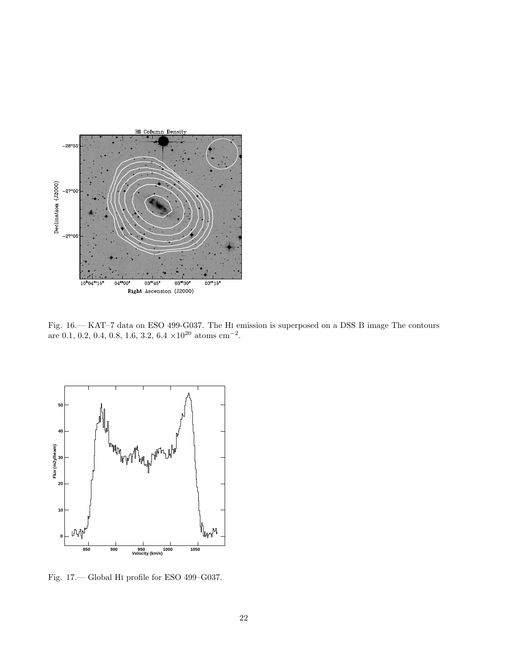![](_page_21_Figure_0.jpeg)

<span id="page-21-0"></span>Fig. 16.— KAT–7 data on ESO 499-G037. The Hi emission is superposed on a DSS B image The contours are 0.1, 0.2, 0.4, 0.8, 1.6, 3.2,  $6.4 \times 10^{20}$  atoms cm<sup>-2</sup>.

![](_page_21_Figure_2.jpeg)

<span id="page-21-1"></span>Fig. 17.— Global Hi profile for ESO 499–G037.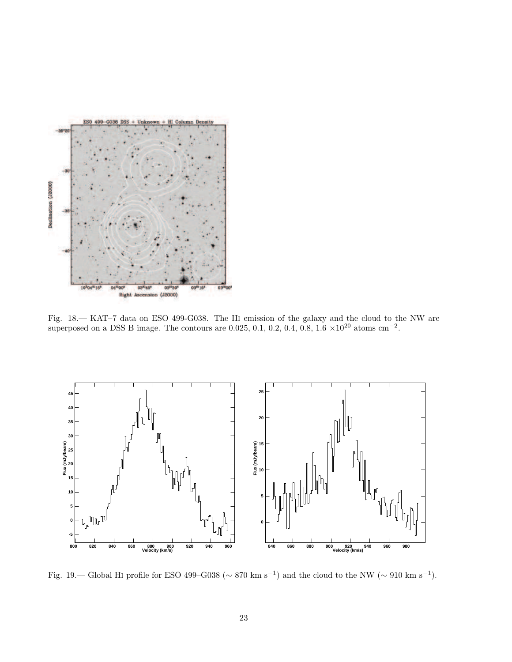![](_page_22_Figure_0.jpeg)

<span id="page-22-0"></span>Fig. 18.— KAT–7 data on ESO 499-G038. The Hi emission of the galaxy and the cloud to the NW are superposed on a DSS B image. The contours are 0.025, 0.1, 0.2, 0.4, 0.8,  $1.6 \times 10^{20}$  atoms cm<sup>-2</sup>.

![](_page_22_Figure_2.jpeg)

<span id="page-22-1"></span>Fig. 19.— Global HI profile for ESO 499–G038 ( $\sim 870 \text{ km s}^{-1}$ ) and the cloud to the NW ( $\sim 910 \text{ km s}^{-1}$ ).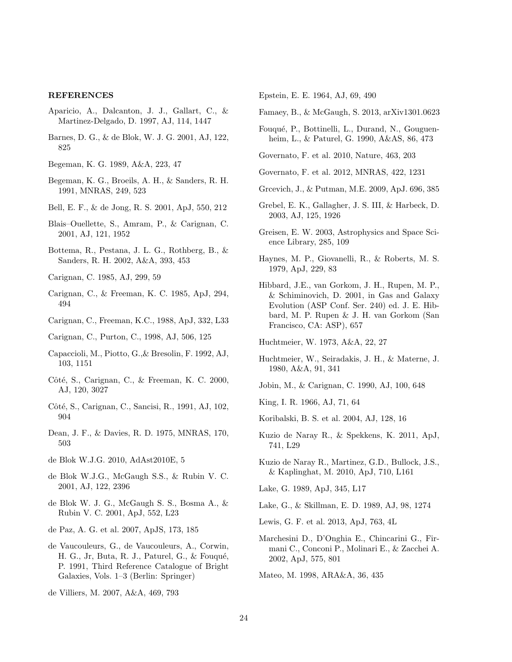#### REFERENCES

- <span id="page-23-34"></span>Aparicio, A., Dalcanton, J. J., Gallart, C., & Martinez-Delgado, D. 1997, AJ, 114, 1447
- <span id="page-23-7"></span>Barnes, D. G., & de Blok, W. J. G. 2001, AJ, 122, 825

<span id="page-23-15"></span>Begeman, K. G. 1989, A&A, 223, 47

- <span id="page-23-6"></span>Begeman, K. G., Broeils, A. H., & Sanders, R. H. 1991, MNRAS, 249, 523
- <span id="page-23-31"></span>Bell, E. F., & de Jong, R. S. 2001, ApJ, 550, 212
- <span id="page-23-4"></span>Blais–Ouellette, S., Amram, P., & Carignan, C. 2001, AJ, 121, 1952
- <span id="page-23-32"></span>Bottema, R., Pestana, J. L. G., Rothberg, B., & Sanders, R. H. 2002, A&A, 393, 453

<span id="page-23-2"></span>Carignan, C. 1985, AJ, 299, 59

- <span id="page-23-30"></span>Carignan, C., & Freeman, K. C. 1985, ApJ, 294, 494
- <span id="page-23-18"></span>Carignan, C., Freeman, K.C., 1988, ApJ, 332, L33
- <span id="page-23-19"></span>Carignan, C., Purton, C., 1998, AJ, 506, 125
- <span id="page-23-5"></span>Capaccioli, M., Piotto, G.,& Bresolin, F. 1992, AJ, 103, 1151
- <span id="page-23-16"></span>Côté, S., Carignan, C., & Freeman, K. C. 2000, AJ, 120, 3027
- <span id="page-23-20"></span>Côté, S., Carignan, C., Sancisi, R., 1991, AJ, 102, 904
- <span id="page-23-12"></span>Dean, J. F., & Davies, R. D. 1975, MNRAS, 170, 503
- <span id="page-23-23"></span>de Blok W.J.G. 2010, AdAst2010E, 5
- <span id="page-23-21"></span>de Blok W.J.G., McGaugh S.S., & Rubin V. C. 2001, AJ, 122, 2396
- de Blok W. J. G., McGaugh S. S., Bosma A., & Rubin V. C. 2001, ApJ, 552, L23
- <span id="page-23-39"></span>de Paz, A. G. et al. 2007, ApJS, 173, 185
- <span id="page-23-0"></span>de Vaucouleurs, G., de Vaucouleurs, A., Corwin, H. G., Jr, Buta, R. J., Paturel, G., & Fouqué, P. 1991, Third Reference Catalogue of Bright Galaxies, Vols. 1–3 (Berlin: Springer)

<span id="page-23-9"></span>de Villiers, M. 2007, A&A, 469, 793

<span id="page-23-14"></span>Epstein, E. E. 1964, AJ, 69, 490

<span id="page-23-28"></span>Famaey, B., & McGaugh, S. 2013, arXiv1301.0623

- <span id="page-23-11"></span>Fouqu´e, P., Bottinelli, L., Durand, N., Gouguenheim, L., & Paturel, G. 1990, A&AS, 86, 473
- <span id="page-23-27"></span>Governato, F. et al. 2010, Nature, 463, 203
- <span id="page-23-24"></span>Governato, F. et al. 2012, MNRAS, 422, 1231
- <span id="page-23-35"></span>Grcevich, J., & Putman, M.E. 2009, ApJ. 696, 385
- <span id="page-23-8"></span>Grebel, E. K., Gallagher, J. S. III, & Harbeck, D. 2003, AJ, 125, 1926
- <span id="page-23-10"></span>Greisen, E. W. 2003, Astrophysics and Space Science Library, 285, 109
- <span id="page-23-38"></span>Haynes, M. P., Giovanelli, R., & Roberts, M. S. 1979, ApJ, 229, 83
- <span id="page-23-36"></span>Hibbard, J.E., van Gorkom, J. H., Rupen, M. P., & Schiminovich, D. 2001, in Gas and Galaxy Evolution (ASP Conf. Ser. 240) ed. J. E. Hibbard, M. P. Rupen & J. H. van Gorkom (San Francisco, CA: ASP), 657

<span id="page-23-13"></span>Huchtmeier, W. 1973, A&A, 22, 27

- Huchtmeier, W., Seiradakis, J. H., & Materne, J. 1980, A&A, 91, 341
- <span id="page-23-3"></span>Jobin, M., & Carignan, C. 1990, AJ, 100, 648
- <span id="page-23-29"></span>King, I. R. 1966, AJ, 71, 64
- <span id="page-23-40"></span>Koribalski, B. S. et al. 2004, AJ, 128, 16
- <span id="page-23-25"></span>Kuzio de Naray R., & Spekkens, K. 2011, ApJ, 741, L29
- <span id="page-23-26"></span>Kuzio de Naray R., Martinez, G.D., Bullock, J.S., & Kaplinghat, M. 2010, ApJ, 710, L161
- <span id="page-23-33"></span>Lake, G. 1989, ApJ, 345, L17
- <span id="page-23-17"></span>Lake, G., & Skillman, E. D. 1989, AJ, 98, 1274
- <span id="page-23-37"></span>Lewis, G. F. et al. 2013, ApJ, 763, 4L
- <span id="page-23-22"></span>Marchesini D., D'Onghia E., Chincarini G., Firmani C., Conconi P., Molinari E., & Zacchei A. 2002, ApJ, 575, 801

<span id="page-23-1"></span>Mateo, M. 1998, ARA&A, 36, 435